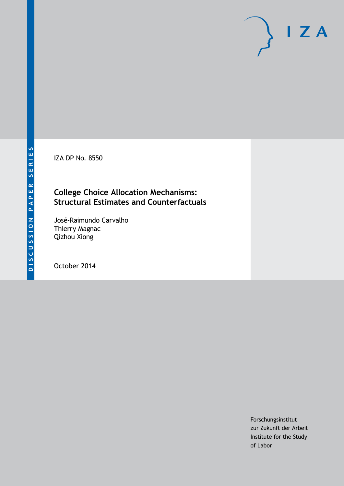IZA DP No. 8550

# **College Choice Allocation Mechanisms: Structural Estimates and Counterfactuals**

José-Raimundo Carvalho Thierry Magnac Qizhou Xiong

October 2014

Forschungsinstitut zur Zukunft der Arbeit Institute for the Study of Labor

 $I Z A$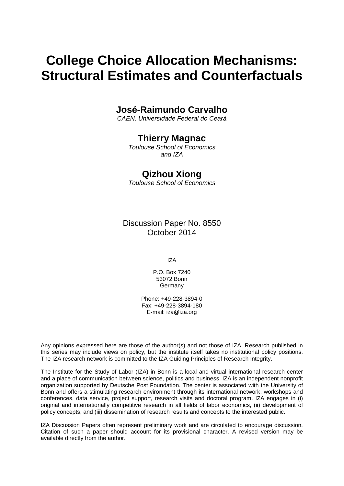# **College Choice Allocation Mechanisms: Structural Estimates and Counterfactuals**

## **José-Raimundo Carvalho**

*CAEN, Universidade Federal do Ceará*

# **Thierry Magnac**

*Toulouse School of Economics and IZA*

# **Qizhou Xiong**

*Toulouse School of Economics*

Discussion Paper No. 8550 October 2014

IZA

P.O. Box 7240 53072 Bonn Germany

Phone: +49-228-3894-0 Fax: +49-228-3894-180 E-mail: [iza@iza.org](mailto:iza@iza.org)

Any opinions expressed here are those of the author(s) and not those of IZA. Research published in this series may include views on policy, but the institute itself takes no institutional policy positions. The IZA research network is committed to the IZA Guiding Principles of Research Integrity.

The Institute for the Study of Labor (IZA) in Bonn is a local and virtual international research center and a place of communication between science, politics and business. IZA is an independent nonprofit organization supported by Deutsche Post Foundation. The center is associated with the University of Bonn and offers a stimulating research environment through its international network, workshops and conferences, data service, project support, research visits and doctoral program. IZA engages in (i) original and internationally competitive research in all fields of labor economics, (ii) development of policy concepts, and (iii) dissemination of research results and concepts to the interested public.

IZA Discussion Papers often represent preliminary work and are circulated to encourage discussion. Citation of such a paper should account for its provisional character. A revised version may be available directly from the author.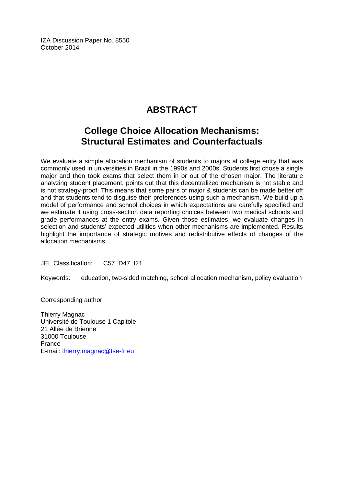IZA Discussion Paper No. 8550 October 2014

# **ABSTRACT**

# **College Choice Allocation Mechanisms: Structural Estimates and Counterfactuals**

We evaluate a simple allocation mechanism of students to majors at college entry that was commonly used in universities in Brazil in the 1990s and 2000s. Students first chose a single major and then took exams that select them in or out of the chosen major. The literature analyzing student placement, points out that this decentralized mechanism is not stable and is not strategy-proof. This means that some pairs of major & students can be made better off and that students tend to disguise their preferences using such a mechanism. We build up a model of performance and school choices in which expectations are carefully specified and we estimate it using cross-section data reporting choices between two medical schools and grade performances at the entry exams. Given those estimates, we evaluate changes in selection and students' expected utilities when other mechanisms are implemented. Results highlight the importance of strategic motives and redistributive effects of changes of the allocation mechanisms.

JEL Classification: C57, D47, I21

Keywords: education, two-sided matching, school allocation mechanism, policy evaluation

Corresponding author:

Thierry Magnac Université de Toulouse 1 Capitole 21 Allée de Brienne 31000 Toulouse France E-mail: [thierry.magnac@tse-fr.eu](mailto:thierry.magnac@tse-fr.eu)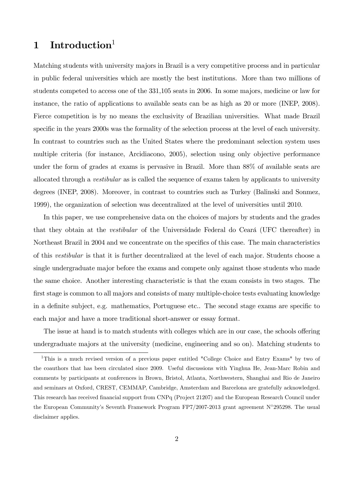# 1 Introduction<sup>1</sup>

Matching students with university majors in Brazil is a very competitive process and in particular in public federal universities which are mostly the best institutions. More than two millions of students competed to access one of the 331,105 seats in 2006. In some majors, medicine or law for instance, the ratio of applications to available seats can be as high as 20 or more (INEP, 2008). Fierce competition is by no means the exclusivity of Brazilian universities. What made Brazil specific in the years 2000s was the formality of the selection process at the level of each university. In contrast to countries such as the United States where the predominant selection system uses multiple criteria (for instance, Arcidiacono, 2005), selection using only objective performance under the form of grades at exams is pervasive in Brazil. More than 88% of available seats are allocated through a vestibular as is called the sequence of exams taken by applicants to university degrees (INEP, 2008). Moreover, in contrast to countries such as Turkey (Balinski and Sonmez, 1999), the organization of selection was decentralized at the level of universities until 2010.

In this paper, we use comprehensive data on the choices of majors by students and the grades that they obtain at the *vestibular* of the Universidade Federal do Ceará (UFC thereafter) in Northeast Brazil in 2004 and we concentrate on the specifics of this case. The main characteristics of this vestibular is that it is further decentralized at the level of each major. Students choose a single undergraduate major before the exams and compete only against those students who made the same choice. Another interesting characteristic is that the exam consists in two stages. The first stage is common to all majors and consists of many multiple-choice tests evaluating knowledge in a definite subject, e.g. mathematics, Portuguese etc.. The second stage exams are specific to each major and have a more traditional short-answer or essay format.

The issue at hand is to match students with colleges which are in our case, the schools offering undergraduate majors at the university (medicine, engineering and so on). Matching students to

<sup>&</sup>lt;sup>1</sup>This is a much revised version of a previous paper entitled "College Choice and Entry Exams" by two of the coauthors that has been circulated since 2009. Useful discussions with Yinghua He, Jean-Marc Robin and comments by participants at conferences in Brown, Bristol, Atlanta, Northwestern, Shanghai and Rio de Janeiro and seminars at Oxford, CREST, CEMMAP, Cambridge, Amsterdam and Barcelona are gratefully acknowledged. This research has received Önancial support from CNPq (Project 21207) and the European Research Council under the European Community's Seventh Framework Program FP7/2007-2013 grant agreement  $N^{\circ}295298$ . The usual disclaimer applies.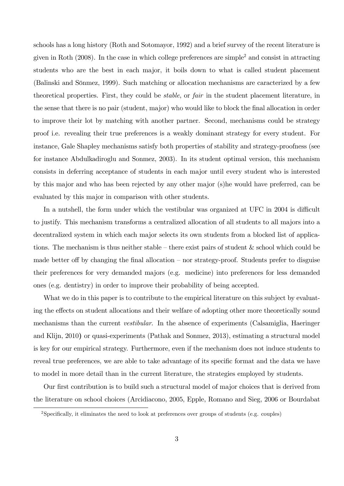schools has a long history (Roth and Sotomayor, 1992) and a brief survey of the recent literature is given in Roth  $(2008)$ . In the case in which college preferences are simple<sup>2</sup> and consist in attracting students who are the best in each major, it boils down to what is called student placement (Balinski and Sönmez, 1999). Such matching or allocation mechanisms are caracterized by a few theoretical properties. First, they could be stable, or fair in the student placement literature, in the sense that there is no pair (student, major) who would like to block the final allocation in order to improve their lot by matching with another partner. Second, mechanisms could be strategy proof i.e. revealing their true preferences is a weakly dominant strategy for every student. For instance, Gale Shapley mechanisms satisfy both properties of stability and strategy-proofness (see for instance Abdulkadiroglu and Sonmez, 2003). In its student optimal version, this mechanism consists in deferring acceptance of students in each major until every student who is interested by this major and who has been rejected by any other major (s)he would have preferred, can be evaluated by this major in comparison with other students.

In a nutshell, the form under which the vestibular was organized at UFC in 2004 is difficult to justify. This mechanism transforms a centralized allocation of all students to all majors into a decentralized system in which each major selects its own students from a blocked list of applications. The mechanism is thus neither stable  $-$  there exist pairs of student  $\&$  school which could be made better of by changing the final allocation – nor strategy-proof. Students prefer to disguise their preferences for very demanded majors (e.g. medicine) into preferences for less demanded ones (e.g. dentistry) in order to improve their probability of being accepted.

What we do in this paper is to contribute to the empirical literature on this subject by evaluating the effects on student allocations and their welfare of adopting other more theoretically sound mechanisms than the current *vestibular*. In the absence of experiments (Calsamiglia, Haeringer and Klijn, 2010) or quasi-experiments (Pathak and Sonmez, 2013), estimating a structural model is key for our empirical strategy. Furthermore, even if the mechanism does not induce students to reveal true preferences, we are able to take advantage of its specific format and the data we have to model in more detail than in the current literature, the strategies employed by students.

Our first contribution is to build such a structural model of major choices that is derived from the literature on school choices (Arcidiacono, 2005, Epple, Romano and Sieg, 2006 or Bourdabat

<sup>&</sup>lt;sup>2</sup>Specifically, it eliminates the need to look at preferences over groups of students (e.g. couples)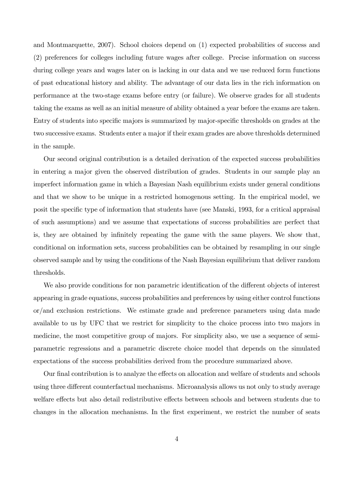and Montmarquette, 2007). School choices depend on (1) expected probabilities of success and (2) preferences for colleges including future wages after college. Precise information on success during college years and wages later on is lacking in our data and we use reduced form functions of past educational history and ability. The advantage of our data lies in the rich information on performance at the two-stage exams before entry (or failure). We observe grades for all students taking the exams as well as an initial measure of ability obtained a year before the exams are taken. Entry of students into specific majors is summarized by major-specific thresholds on grades at the two successive exams. Students enter a major if their exam grades are above thresholds determined in the sample.

Our second original contribution is a detailed derivation of the expected success probabilities in entering a major given the observed distribution of grades. Students in our sample play an imperfect information game in which a Bayesian Nash equilibrium exists under general conditions and that we show to be unique in a restricted homogenous setting. In the empirical model, we posit the specific type of information that students have (see Manski, 1993, for a critical appraisal of such assumptions) and we assume that expectations of success probabilities are perfect that is, they are obtained by infinitely repeating the game with the same players. We show that, conditional on information sets, success probabilities can be obtained by resampling in our single observed sample and by using the conditions of the Nash Bayesian equilibrium that deliver random thresholds.

We also provide conditions for non parametric identification of the different objects of interest appearing in grade equations, success probabilities and preferences by using either control functions or/and exclusion restrictions. We estimate grade and preference parameters using data made available to us by UFC that we restrict for simplicity to the choice process into two majors in medicine, the most competitive group of majors. For simplicity also, we use a sequence of semiparametric regressions and a parametric discrete choice model that depends on the simulated expectations of the success probabilities derived from the procedure summarized above.

Our final contribution is to analyze the effects on allocation and welfare of students and schools using three different counterfactual mechanisms. Microanalysis allows us not only to study average welfare effects but also detail redistributive effects between schools and between students due to changes in the allocation mechanisms. In the first experiment, we restrict the number of seats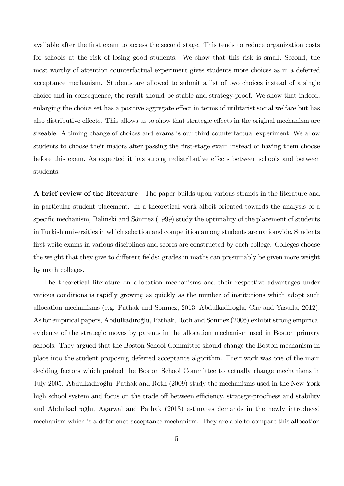available after the first exam to access the second stage. This tends to reduce organization costs for schools at the risk of losing good students. We show that this risk is small. Second, the most worthy of attention counterfactual experiment gives students more choices as in a deferred acceptance mechanism. Students are allowed to submit a list of two choices instead of a single choice and in consequence, the result should be stable and strategy-proof. We show that indeed, enlarging the choice set has a positive aggregate effect in terms of utilitarist social welfare but has also distributive effects. This allows us to show that strategic effects in the original mechanism are sizeable. A timing change of choices and exams is our third counterfactual experiment. We allow students to choose their majors after passing the first-stage exam instead of having them choose before this exam. As expected it has strong redistributive effects between schools and between students.

A brief review of the literature The paper builds upon various strands in the literature and in particular student placement. In a theoretical work albeit oriented towards the analysis of a specific mechanism, Balinski and Sönmez (1999) study the optimality of the placement of students in Turkish universities in which selection and competition among students are nationwide. Students first write exams in various disciplines and scores are constructed by each college. Colleges choose the weight that they give to different fields: grades in maths can presumably be given more weight by math colleges.

The theoretical literature on allocation mechanisms and their respective advantages under various conditions is rapidly growing as quickly as the number of institutions which adopt such allocation mechanisms (e.g. Pathak and Sonmez, 2013, Abdulkadiroglu, Che and Yasuda, 2012). As for empirical papers, Abdulkadiroğlu, Pathak, Roth and Sonmez (2006) exhibit strong empirical evidence of the strategic moves by parents in the allocation mechanism used in Boston primary schools. They argued that the Boston School Committee should change the Boston mechanism in place into the student proposing deferred acceptance algorithm. Their work was one of the main deciding factors which pushed the Boston School Committee to actually change mechanisms in July 2005. Abdulkadiroglu, Pathak and Roth (2009) study the mechanisms used in the New York º high school system and focus on the trade off between efficiency, strategy-proofness and stability and Abdulkadiroğlu, Agarwal and Pathak (2013) estimates demands in the newly introduced mechanism which is a deferrence acceptance mechanism. They are able to compare this allocation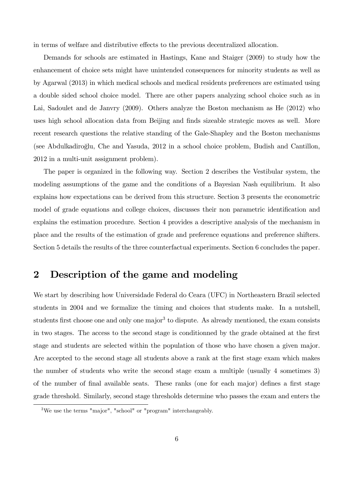in terms of welfare and distributive effects to the previous decentralized allocation.

Demands for schools are estimated in Hastings, Kane and Staiger (2009) to study how the enhancement of choice sets might have unintended consequences for minority students as well as by Agarwal (2013) in which medical schools and medical residents preferences are estimated using a double sided school choice model. There are other papers analyzing school choice such as in Lai, Sadoulet and de Janvry (2009). Others analyze the Boston mechanism as He (2012) who uses high school allocation data from Beijing and finds sizeable strategic moves as well. More recent research questions the relative standing of the Gale-Shapley and the Boston mechanisms (see Abdulkadiroglu, Che and Yasuda, 2012 in a school choice problem, Budish and Cantillon, º 2012 in a multi-unit assignment problem).

The paper is organized in the following way. Section 2 describes the Vestibular system, the modeling assumptions of the game and the conditions of a Bayesian Nash equilibrium. It also explains how expectations can be derived from this structure. Section 3 presents the econometric model of grade equations and college choices, discusses their non parametric identification and explains the estimation procedure. Section 4 provides a descriptive analysis of the mechanism in place and the results of the estimation of grade and preference equations and preference shifters. Section 5 details the results of the three counterfactual experiments. Section 6 concludes the paper.

## 2 Description of the game and modeling

We start by describing how Universidade Federal do Ceara (UFC) in Northeastern Brazil selected students in 2004 and we formalize the timing and choices that students make. In a nutshell, students first choose one and only one major<sup>3</sup> to dispute. As already mentioned, the exam consists in two stages. The access to the second stage is conditionned by the grade obtained at the first stage and students are selected within the population of those who have chosen a given major. Are accepted to the second stage all students above a rank at the first stage exam which makes the number of students who write the second stage exam a multiple (usually 4 sometimes 3) of the number of final available seats. These ranks (one for each major) defines a first stage grade threshold. Similarly, second stage thresholds determine who passes the exam and enters the

<sup>3</sup>We use the terms "major", "school" or "program" interchangeably.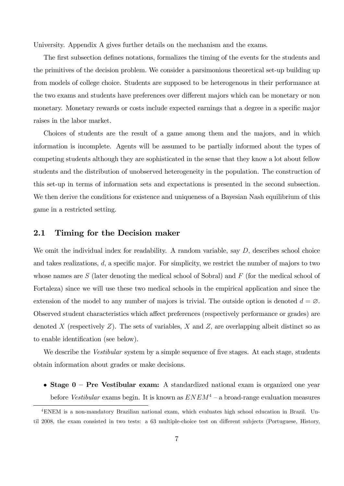University. Appendix A gives further details on the mechanism and the exams.

The first subsection defines notations, formalizes the timing of the events for the students and the primitives of the decision problem. We consider a parsimonious theoretical set-up building up from models of college choice. Students are supposed to be heterogenous in their performance at the two exams and students have preferences over different majors which can be monetary or non monetary. Monetary rewards or costs include expected earnings that a degree in a specific major raises in the labor market.

Choices of students are the result of a game among them and the majors, and in which information is incomplete. Agents will be assumed to be partially informed about the types of competing students although they are sophisticated in the sense that they know a lot about fellow students and the distribution of unobserved heterogeneity in the population. The construction of this set-up in terms of information sets and expectations is presented in the second subsection. We then derive the conditions for existence and uniqueness of a Bayesian Nash equilibrium of this game in a restricted setting.

## 2.1 Timing for the Decision maker

We omit the individual index for readability. A random variable, say  $D$ , describes school choice and takes realizations,  $d$ , a specific major. For simplicity, we restrict the number of majors to two whose names are  $S$  (later denoting the medical school of Sobral) and  $F$  (for the medical school of Fortaleza) since we will use these two medical schools in the empirical application and since the extension of the model to any number of majors is trivial. The outside option is denoted  $d = \emptyset$ . Observed student characteristics which affect preferences (respectively performance or grades) are denoted X (respectively  $Z$ ). The sets of variables,  $X$  and  $Z$ , are overlapping albeit distinct so as to enable identification (see below).

We describe the *Vestibular* system by a simple sequence of five stages. At each stage, students obtain information about grades or make decisions.

• Stage  $0$  – Pre Vestibular exam: A standardized national exam is organized one year before Vestibular exams begin. It is known as  $ENEM^4$  – a broad-range evaluation measures

<sup>4</sup>ENEM is a non-mandatory Brazilian national exam, which evaluates high school education in Brazil. Until 2008, the exam consisted in two tests: a 63 multiple-choice test on different subjects (Portuguese, History,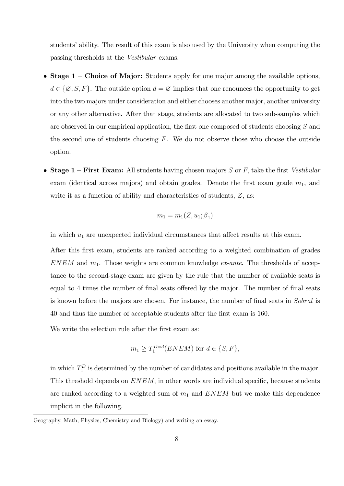students' ability. The result of this exam is also used by the University when computing the passing thresholds at the Vestibular exams.

- Stage  $1$  Choice of Major: Students apply for one major among the available options,  $d \in \{\emptyset, S, F\}.$  The outside option  $d = \emptyset$  implies that one renounces the opportunity to get into the two majors under consideration and either chooses another major, another university or any other alternative. After that stage, students are allocated to two sub-samples which are observed in our empirical application, the first one composed of students choosing  $S$  and the second one of students choosing  $F$ . We do not observe those who choose the outside option.
- Stage  $1$  First Exam: All students having chosen majors S or F, take the first Vestibular exam (identical across majors) and obtain grades. Denote the first exam grade  $m_1$ , and write it as a function of ability and characteristics of students,  $Z$ , as:

$$
m_1 = m_1(Z, u_1; \beta_1)
$$

in which  $u_1$  are unexpected individual circumstances that affect results at this exam.

After this first exam, students are ranked according to a weighted combination of grades  $ENEM$  and  $m_1$ . Those weights are common knowledge *ex-ante*. The thresholds of acceptance to the second-stage exam are given by the rule that the number of available seats is equal to 4 times the number of final seats offered by the major. The number of final seats is known before the majors are chosen. For instance, the number of final seats in Sobral is 40 and thus the number of acceptable students after the Örst exam is 160:

We write the selection rule after the first exam as:

$$
m_1 \ge T_1^{D=d}(ENEM) \text{ for } d \in \{S, F\},
$$

in which  $T_1^D$  is determined by the number of candidates and positions available in the major. This threshold depends on  $ENEM$ , in other words are individual specific, because students are ranked according to a weighted sum of  $m_1$  and  $ENEM$  but we make this dependence implicit in the following.

Geography, Math, Physics, Chemistry and Biology) and writing an essay.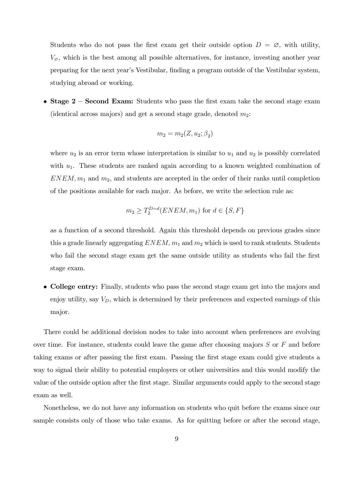Students who do not pass the first exam get their outside option  $D = \emptyset$ , with utility,  $V_{\varnothing}$ , which is the best among all possible alternatives, for instance, investing another year preparing for the next yearís Vestibular, Önding a program outside of the Vestibular system, studying abroad or working.

• Stage  $2$  – Second Exam: Students who pass the first exam take the second stage exam (identical across majors) and get a second stage grade, denoted  $m_2$ :

$$
m_2 = m_2(Z, u_2; \beta_2)
$$

where  $u_2$  is an error term whose interpretation is similar to  $u_1$  and  $u_2$  is possibly correlated with  $u_1$ . These students are ranked again according to a known weighted combination of  $ENEM, m_1$  and  $m_2$ , and students are accepted in the order of their ranks until completion of the positions available for each major. As before, we write the selection rule as:

$$
m_2 \ge T_2^{D=d}(ENEM, m_1) \text{ for } d \in \{S, F\}
$$

as a function of a second threshold. Again this threshold depends on previous grades since this a grade linearly aggregating  $ENEM$ ,  $m_1$  and  $m_2$  which is used to rank students. Students who fail the second stage exam get the same outside utility as students who fail the first stage exam.

 College entry: Finally, students who pass the second stage exam get into the majors and enjoy utility, say  $V_D$ , which is determined by their preferences and expected earnings of this major.

There could be additional decision nodes to take into account when preferences are evolving over time. For instance, students could leave the game after choosing majors  $S$  or  $F$  and before taking exams or after passing the Örst exam. Passing the Örst stage exam could give students a way to signal their ability to potential employers or other universities and this would modify the value of the outside option after the first stage. Similar arguments could apply to the second stage exam as well.

Nonetheless, we do not have any information on students who quit before the exams since our sample consists only of those who take exams. As for quitting before or after the second stage,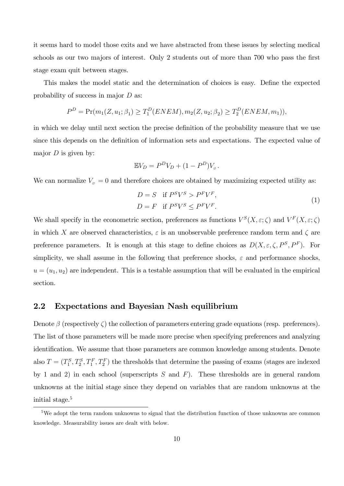it seems hard to model those exits and we have abstracted from these issues by selecting medical schools as our two majors of interest. Only 2 students out of more than 700 who pass the first stage exam quit between stages.

This makes the model static and the determination of choices is easy. Define the expected probability of success in major D as:

$$
P^{D} = \Pr(m_1(Z, u_1; \beta_1) \ge T_1^D(ENEM), m_2(Z, u_2; \beta_2) \ge T_2^D(ENEM, m_1)),
$$

in which we delay until next section the precise definition of the probability measure that we use since this depends on the definition of information sets and expectations. The expected value of major  $D$  is given by:

$$
\mathbb{E}V_D = P^D V_D + (1 - P^D) V_{\varnothing}.
$$

We can normalize  $V_{\sigma} = 0$  and therefore choices are obtained by maximizing expected utility as:

$$
D = S \quad \text{if } P^S V^S > P^F V^F,
$$
  

$$
D = F \quad \text{if } P^S V^S \le P^F V^F.
$$
 (1)

We shall specify in the econometric section, preferences as functions  $V^S(X,\varepsilon;\zeta)$  and  $V^F(X,\varepsilon;\zeta)$ in which X are observed characteristics,  $\varepsilon$  is an unobservable preference random term and  $\zeta$  are preference parameters. It is enough at this stage to define choices as  $D(X, \varepsilon, \zeta, P^S, P^F)$ . For simplicity, we shall assume in the following that preference shocks,  $\varepsilon$  and performance shocks,  $u = (u_1, u_2)$  are independent. This is a testable assumption that will be evaluated in the empirical section.

## 2.2 Expectations and Bayesian Nash equilibrium

Denote  $\beta$  (respectively  $\zeta$ ) the collection of parameters entering grade equations (resp. preferences). The list of those parameters will be made more precise when specifying preferences and analyzing identification. We assume that those parameters are common knowledge among students. Denote also  $T = (T_1^S, T_2^S, T_1^F, T_2^F)$  the thresholds that determine the passing of exams (stages are indexed by 1 and 2) in each school (superscripts  $S$  and  $F$ ). These thresholds are in general random unknowns at the initial stage since they depend on variables that are random unknowns at the initial stage.<sup>5</sup>

<sup>&</sup>lt;sup>5</sup>We adopt the term random unknowns to signal that the distribution function of those unknowns are common knowledge. Measurability issues are dealt with below.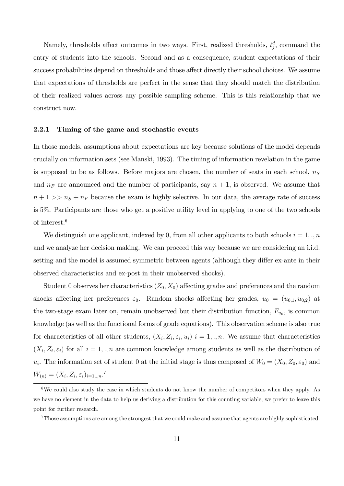Namely, thresholds affect outcomes in two ways. First, realized thresholds,  $t_j^d$ , command the entry of students into the schools. Second and as a consequence, student expectations of their success probabilities depend on thresholds and those affect directly their school choices. We assume that expectations of thresholds are perfect in the sense that they should match the distribution of their realized values across any possible sampling scheme. This is this relationship that we construct now.

#### 2.2.1 Timing of the game and stochastic events

In those models, assumptions about expectations are key because solutions of the model depends crucially on information sets (see Manski, 1993). The timing of information revelation in the game is supposed to be as follows. Before majors are chosen, the number of seats in each school,  $n<sub>S</sub>$ and  $n_F$  are announced and the number of participants, say  $n + 1$ , is observed. We assume that  $n + 1 >> n<sub>S</sub> + n<sub>F</sub>$  because the exam is highly selective. In our data, the average rate of success is 5%. Participants are those who get a positive utility level in applying to one of the two schools of interest.<sup>6</sup>

We distinguish one applicant, indexed by 0, from all other applicants to both schools  $i = 1, \ldots, n$ and we analyze her decision making. We can proceed this way because we are considering an i.i.d. setting and the model is assumed symmetric between agents (although they differ ex-ante in their observed characteristics and ex-post in their unobserved shocks).

Student 0 observes her characteristics  $(Z_0, X_0)$  affecting grades and preferences and the random shocks affecting her preferences  $\varepsilon_0$ . Random shocks affecting her grades,  $u_0 = (u_{0,1}, u_{0,2})$  at the two-stage exam later on, remain unobserved but their distribution function,  $F_{u_0}$ , is common knowledge (as well as the functional forms of grade equations). This observation scheme is also true for characteristics of all other students,  $(X_i, Z_i, \varepsilon_i, u_i)$   $i = 1, \ldots, n$ . We assume that characteristics  $(X_i, Z_i, \varepsilon_i)$  for all  $i = 1, \ldots, n$  are common knowledge among students as well as the distribution of  $u_i$ . The information set of student 0 at the initial stage is thus composed of  $W_0 = (X_0, Z_0, \varepsilon_0)$  and  $W_{(n)} = (X_i, Z_i, \varepsilon_i)_{i=1,..,n}.$ <sup>7</sup>

 $6$ We could also study the case in which students do not know the number of competitors when they apply. As we have no element in the data to help us deriving a distribution for this counting variable, we prefer to leave this point for further research.

<sup>7</sup>Those assumptions are among the strongest that we could make and assume that agents are highly sophisticated.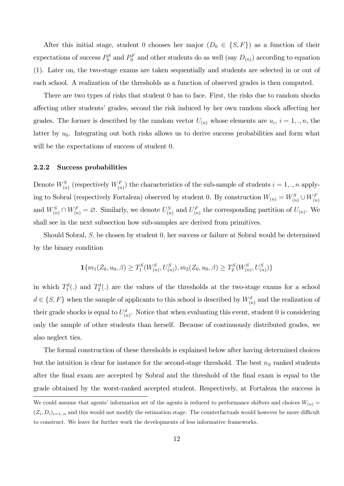After this initial stage, student 0 chooses her major  $(D_0 \in \{S, F\})$  as a function of their expectations of success  $P_0^S$  and  $P_0^F$  and other students do as well (say  $D_{(n)}$ ) according to equation (1). Later on, the two-stage exams are taken sequentially and students are selected in or out of each school. A realization of the thresholds as a function of observed grades is then computed.

There are two types of risks that student 0 has to face. First, the risks due to random shocks affecting other students' grades, second the risk induced by her own random shock affecting her grades. The former is described by the random vector  $U_{(n)}$  whose elements are  $u_i$ ,  $i = 1,..,n$ , the latter by  $u_0$ . Integrating out both risks allows us to derive success probabilities and form what will be the expectations of success of student 0.

#### 2.2.2 Success probabilities

Denote  $W_{(n)}^S$  (respectively  $W_{(n)}^F$ ) the characteristics of the sub-sample of students  $i = 1, ., n$  applying to Sobral (respectively Fortaleza) observed by student 0. By construction  $W_{(n)} = W_{(n)}^S \cup W_{(n)}^F$ and  $W_{(n)}^S \cap W_{(n)}^F = \emptyset$ . Similarly, we denote  $U_{(n)}^S$  and  $U_{(n)}^F$  the corresponding partition of  $U_{(n)}$ . We shall see in the next subsection how sub-samples are derived from primitives.

Should Sobral, S; be chosen by student 0; her success or failure at Sobral would be determined by the binary condition

$$
\mathbf{1}\{m_1(Z_0, u_0, \beta) \ge T_1^S(W_{(n)}^S, U_{(n)}^S), m_2(Z_0, u_0, \beta) \ge T_2^S(W_{(n)}^S, U_{(n)}^S)\}
$$

in which  $T_1^d(.)$  and  $T_2^d(.)$  are the values of the thresholds at the two-stage exams for a school  $d \in \{S, F\}$  when the sample of applicants to this school is described by  $W_{(n)}^d$  and the realization of their grade shocks is equal to  $U_{(n)}^d$ . Notice that when evaluating this event, student 0 is considering only the sample of other students than herself. Because of continuously distributed grades, we also neglect ties.

The formal construction of these thresholds is explained below after having determined choices but the intuition is clear for instance for the second-stage threshold. The best  $n<sub>S</sub>$  ranked students after the Önal exam are accepted by Sobral and the threshold of the Önal exam is equal to the grade obtained by the worst-ranked accepted student. Respectively, at Fortaleza the success is

We could assume that agents' information set of the agents is reduced to performance shifters and choices  $W_{(n)} =$  $(Z_i, D_i)_{i=1,n}$  and this would not modify the estimation stage. The counterfactuals would however be more difficult to construct. We leave for further work the developments of less informative frameworks.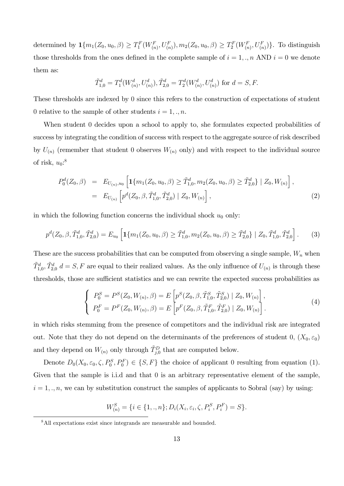determined by  $\mathbf{1}\{m_1(Z_0, u_0, \beta) \geq T_1^F(W_{(n)}^F, U_{(n)}^F), m_2(Z_0, u_0, \beta) \geq T_2^F(W_{(n)}^F, U_{(n)}^F)\}$ . To distinguish those thresholds from the ones defined in the complete sample of  $i = 1, \ldots, n$  AND  $i = 0$  we denote them as:

$$
\tilde{T}_{1,0}^d = T_1^d(W_{(n)}^d, U_{(n)}^d), \tilde{T}_{2,0}^d = T_2^d(W_{(n)}^d, U_{(n)}^d)
$$
 for  $d = S, F$ .

These thresholds are indexed by 0 since this refers to the construction of expectations of student 0 relative to the sample of other students  $i = 1, \ldots, n$ .

When student 0 decides upon a school to apply to, she formulates expected probabilities of success by integrating the condition of success with respect to the aggregate source of risk described by  $U_{(n)}$  (remember that student 0 observes  $W_{(n)}$  only) and with respect to the individual source of risk,  $u_0$ :<sup>8</sup>

$$
P_0^d(Z_0, \beta) = E_{U_{(n)}, u_0} \left[ \mathbf{1} \{ m_1(Z_0, u_0, \beta) \ge \tilde{T}_{1,0}^d, m_2(Z_0, u_0, \beta) \ge \tilde{T}_{2,0}^d \} \mid Z_0, W_{(n)} \right],
$$
  
=  $E_{U_{(n)}} \left[ p^d(Z_0, \beta, \tilde{T}_{1,0}^d, \tilde{T}_{2,0}^d) \mid Z_0, W_{(n)} \right],$  (2)

in which the following function concerns the individual shock  $u_0$  only:

$$
p^{d}(Z_0, \beta, \tilde{T}_{1,0}^d, \tilde{T}_{2,0}^d) = E_{u_0} \left[ \mathbf{1} \{ m_1(Z_0, u_0, \beta) \ge \tilde{T}_{1,0}^d, m_2(Z_0, u_0, \beta) \ge \tilde{T}_{2,0}^d \} \mid Z_0, \tilde{T}_{1,0}^d, \tilde{T}_{2,0}^d \right].
$$
 (3)

These are the success probabilities that can be computed from observing a single sample,  $W_n$  when  $\tilde{T}_{1,0}^d$ ,  $\tilde{T}_{2,0}^d$  d = S, F are equal to their realized values. As the only influence of  $U_{(n)}$  is through these thresholds, those are sufficient statistics and we can rewrite the expected success probabilities as

$$
\begin{cases}\nP_0^S = P^S(Z_0, W_{(n)}, \beta) = E\left[p^S(Z_0, \beta, \tilde{T}_{1,0}^S, \tilde{T}_{2,0}^S) \mid Z_0, W_{(n)}\right], \\
P_0^F = P^F(Z_0, W_{(n)}, \beta) = E\left[p^F(Z_0, \beta, \tilde{T}_{1,0}^F, \tilde{T}_{2,0}^F) \mid Z_0, W_{(n)}\right].\n\end{cases} \tag{4}
$$

in which risks stemming from the presence of competitors and the individual risk are integrated out. Note that they do not depend on the determinants of the preferences of student 0,  $(X_0, \varepsilon_0)$ and they depend on  $W_{(n)}$  only through  $\tilde{T}_{j,0}^D$  that are computed below.

Denote  $D_0(X_0, \varepsilon_0, \zeta, P_0^S, P_0^F) \in \{S, F\}$  the choice of applicant 0 resulting from equation (1). Given that the sample is i.i.d and that 0 is an arbitrary representative element of the sample,  $i = 1, \ldots, n$ , we can by substitution construct the samples of applicants to Sobral (say) by using:

$$
W_{(n)}^{S} = \{i \in \{1,.,n\}; D_i(X_i, \varepsilon_i, \zeta, P_i^{S}, P_i^{F}) = S\}.
$$

<sup>&</sup>lt;sup>8</sup>All expectations exist since integrands are measurable and bounded.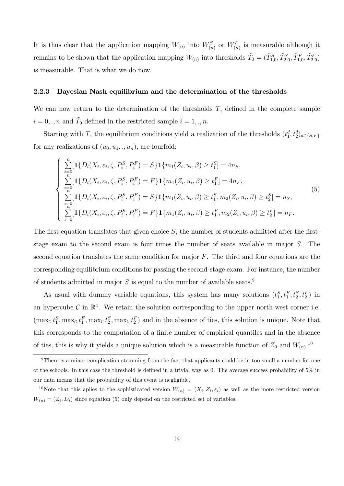It is thus clear that the application mapping  $W_{(n)}$  into  $W_{(n)}^S$  or  $W_{(n)}^F$  is measurable although it remains to be shown that the application mapping  $W_{(n)}$  into thresholds  $\tilde{T}_0 = (\tilde{T}_{1,0}^S, \tilde{T}_{2,0}^S, \tilde{T}_{1,0}^F, \tilde{T}_{2,0}^F)$ is measurable. That is what we do now.

#### 2.2.3 Bayesian Nash equilibrium and the determination of the thresholds

We can now return to the determination of the thresholds  $T$ , defined in the complete sample  $i = 0, \ldots, n$  and  $\tilde{T}_0$  defined in the restricted sample  $i = 1, \ldots, n$ .

Starting with T, the equilibrium conditions yield a realization of the thresholds  $(t_1^d, t_2^d)_{d \in \{S, F\}}$ for any realizations of  $(u_0, u_1, \ldots, u_n)$ , are fourfold:

$$
\begin{cases}\n\sum_{i=0}^{n} \left[ \mathbf{1} \{ D_i(X_i, \varepsilon_i, \zeta, P_i^S, P_i^F) = S \} \mathbf{1} \{ m_1(Z_i, u_i, \beta) \ge t_1^S \} = 4n_S, \\
\sum_{i=0}^{n} \left[ \mathbf{1} \{ D_i(X_i, \varepsilon_i, \zeta, P_i^S, P_i^F) = F \} \mathbf{1} \{ m_1(Z_i, u_i, \beta) \ge t_1^F \} = 4n_F, \\
\sum_{i=0}^{n} \left[ \mathbf{1} \{ D_i(X_i, \varepsilon_i, \zeta, P_i^S, P_i^F) = S \} \mathbf{1} \{ m_1(Z_i, u_i, \beta) \ge t_1^S, m_2(Z_i, u_i, \beta) \ge t_2^S \} = n_S, \\
\sum_{i=0}^{n} \left[ \mathbf{1} \{ D_i(X_i, \varepsilon_i, \zeta, P_i^S, P_i^F) = F \} \mathbf{1} \{ m_1(Z_i, u_i, \beta) \ge t_1^F, m_2(Z_i, u_i, \beta) \ge t_2^F \} = n_F.\n\end{cases}
$$
\n(5)

The first equation translates that given choice  $S$ , the number of students admitted after the firststage exam to the second exam is four times the number of seats available in major S. The second equation translates the same condition for major  $F$ . The third and four equations are the corresponding equilibrium conditions for passing the second-stage exam. For instance, the number of students admitted in major  $S$  is equal to the number of available seats.<sup>9</sup>

As usual with dummy variable equations, this system has many solutions  $(t_1^S, t_1^F, t_2^S, t_2^F)$  in an hypercube  $\mathcal C$  in  $\mathbb{R}^4$ . We retain the solution corresponding to the upper north-west corner i.e.  $(\max_{\mathcal{C}} t_1^S, \max_{\mathcal{C}} t_1^F, \max_{\mathcal{C}} t_2^S, \max_{\mathcal{C}} t_2^F)$  and in the absence of ties, this solution is unique. Note that this corresponds to the computation of a finite number of empirical quantiles and in the absence of ties, this is why it yields a unique solution which is a measurable function of  $Z_0$  and  $W_{(n)}$ .<sup>10</sup>

<sup>&</sup>lt;sup>9</sup>There is a minor complication stemming from the fact that applicants could be in too small a number for one of the schools. In this case the threshold is defined in a trivial way as 0. The average success probability of  $5\%$  in our data means that the probability of this event is negligible.

<sup>&</sup>lt;sup>10</sup>Note that this aplies to the sophisticated version  $W_{(n)} = (X_i, Z_i, \varepsilon_i)$  as well as the more restricted version  $W_{(n)} = (Z_i, D_i)$  since equation (5) only depend on the restricted set of variables.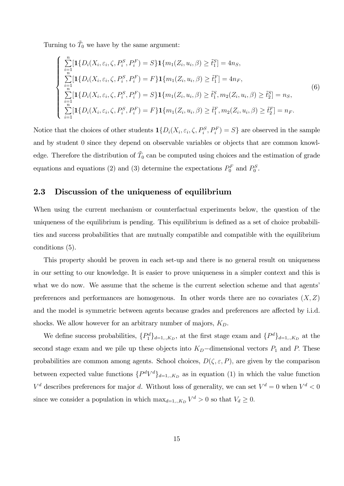Turning to  $\tilde{T}_0$  we have by the same argument:

$$
\begin{cases}\n\sum_{i=1}^{n} \left[ \mathbf{1} \{ D_i(X_i, \varepsilon_i, \zeta, P_i^S, P_i^F) = S \} \mathbf{1} \{ m_1(Z_i, u_i, \beta) \ge \tilde{t}_1^S \} = 4n_S, \\
\sum_{i=1}^{n} \left[ \mathbf{1} \{ D_i(X_i, \varepsilon_i, \zeta, P_i^S, P_i^F) = F \} \mathbf{1} \{ m_1(Z_i, u_i, \beta) \ge \tilde{t}_1^F \} = 4n_F, \\
\sum_{i=1}^{n} \left[ \mathbf{1} \{ D_i(X_i, \varepsilon_i, \zeta, P_i^S, P_i^F) = S \} \mathbf{1} \{ m_1(Z_i, u_i, \beta) \ge \tilde{t}_1^S, m_2(Z_i, u_i, \beta) \ge \tilde{t}_2^S \} = n_S, \\
\sum_{i=1}^{n} \left[ \mathbf{1} \{ D_i(X_i, \varepsilon_i, \zeta, P_i^S, P_i^F) = F \} \mathbf{1} \{ m_1(Z_i, u_i, \beta) \ge \tilde{t}_1^F, m_2(Z_i, u_i, \beta) \ge \tilde{t}_2^F \} = n_F.\n\end{cases}
$$
\n(6)

Notice that the choices of other students  $\mathbf{1}\{D_i(X_i, \varepsilon_i, \zeta, P_i^S, P_i^F) = S\}$  are observed in the sample and by student 0 since they depend on observable variables or objects that are common knowledge. Therefore the distribution of  $\tilde{T}_0$  can be computed using choices and the estimation of grade equations and equations (2) and (3) determine the expectations  $P_0^F$  and  $P_0^S$ .

## 2.3 Discussion of the uniqueness of equilibrium

When using the current mechanism or counterfactual experiments below, the question of the uniqueness of the equilibrium is pending. This equilibrium is defined as a set of choice probabilities and success probabilities that are mutually compatible and compatible with the equilibrium conditions (5).

This property should be proven in each set-up and there is no general result on uniqueness in our setting to our knowledge. It is easier to prove uniqueness in a simpler context and this is what we do now. We assume that the scheme is the current selection scheme and that agents preferences and performances are homogenous. In other words there are no covariates  $(X, Z)$ and the model is symmetric between agents because grades and preferences are affected by i.i.d. shocks. We allow however for an arbitrary number of majors,  $K_D$ .

We define success probabilities,  $\{P_1^d\}_{d=1,..,K_D}$ , at the first stage exam and  $\{P^d\}_{d=1,..,K_D}$  at the second stage exam and we pile up these objects into  $K_D$ -dimensional vectors  $P_1$  and P. These probabilities are common among agents. School choices,  $D(\zeta, \varepsilon, P)$ , are given by the comparison between expected value functions  $\{P^d V^d\}_{d=1,..,K_D}$  as in equation (1) in which the value function  $V^d$  describes preferences for major d. Without loss of generality, we can set  $V^d = 0$  when  $V^d < 0$ since we consider a population in which  $\max_{d=1,..,K_D} V^d > 0$  so that  $V_d \ge 0$ .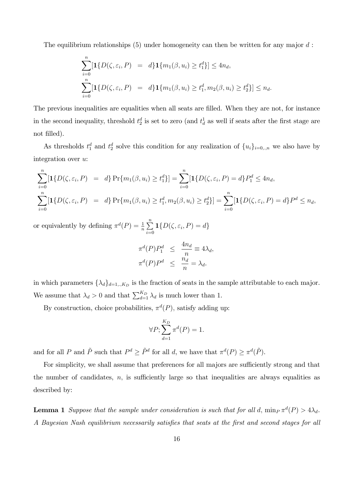The equilibrium relationships  $(5)$  under homogeneity can then be written for any major d:

$$
\sum_{i=0}^{n} [\mathbf{1}{D(\zeta, \varepsilon_i, P)} = d\mathbf{1}{m_1(\beta, u_i) \ge t_1^d}] \le 4n_d,
$$
  

$$
\sum_{i=0}^{n} [\mathbf{1}{D(\zeta, \varepsilon_i, P)} = d\mathbf{1}{m_1(\beta, u_i) \ge t_1^d, m_2(\beta, u_i) \ge t_2^d}] \le n_d.
$$

The previous inequalities are equalities when all seats are filled. When they are not, for instance in the second inequality, threshold  $t_2^d$  is set to zero (and  $t_d$ ) as well if seats after the first stage are not filled).

As thresholds  $t_1^d$  and  $t_2^d$  solve this condition for any realization of  $\{u_i\}_{i=0,..,n}$  we also have by integration over u:

$$
\sum_{i=0}^{n} [\mathbf{1}{D(\zeta, \varepsilon_i, P)} = d\} \Pr\{m_1(\beta, u_i) \ge t_1^d\}] = \sum_{i=0}^{n} [\mathbf{1}{D(\zeta, \varepsilon_i, P)} = d\} P_1^d \le 4n_d,
$$
\n
$$
\sum_{i=0}^{n} [\mathbf{1}{D(\zeta, \varepsilon_i, P)} = d\} \Pr\{m_1(\beta, u_i) \ge t_1^d, m_2(\beta, u_i) \ge t_2^d\}] = \sum_{i=0}^{n} [\mathbf{1}{D(\zeta, \varepsilon_i, P)} = d\} P^d \le n_d,
$$

or equivalently by defining  $\pi^d(P) = \frac{1}{n} \sum_{n=0}^{\infty}$  $\sum_{i=0}$  **1** $\{D(\zeta, \varepsilon_i, P) = d\}$ 

$$
\pi^{d}(P)P_1^d \le \frac{4n_d}{n} \equiv 4\lambda_d,
$$
  

$$
\pi^{d}(P)P^d \le \frac{n_d}{n} = \lambda_d.
$$

in which parameters  $\{\lambda_d\}_{d=1,..,K_D}$  is the fraction of seats in the sample attributable to each major. We assume that  $\lambda_d > 0$  and that  $\sum_{d=1}^{K_D} \lambda_d$  is much lower than 1.

By construction, choice probabilities,  $\pi^d(P)$ , satisfy adding up:

$$
\forall P; \sum_{d=1}^{K_D} \pi^d(P) = 1.
$$

and for all P and  $\tilde{P}$  such that  $P^d \geq \tilde{P}^d$  for all d, we have that  $\pi^d(P) \geq \pi^d(\tilde{P})$ .

For simplicity, we shall assume that preferences for all majors are sufficiently strong and that the number of candidates,  $n$ , is sufficiently large so that inequalities are always equalities as described by:

**Lemma 1** Suppose that the sample under consideration is such that for all d,  $\min_P \pi^d(P) > 4\lambda_d$ . A Bayesian Nash equilibrium necessarily satisfies that seats at the first and second stages for all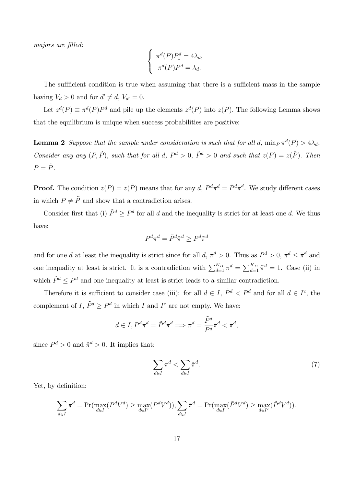majors are filled:

$$
\begin{cases}\n\pi^d(P)P_1^d = 4\lambda_d, \\
\pi^d(P)P^d = \lambda_d.\n\end{cases}
$$

The sufficient condition is true when assuming that there is a sufficient mass in the sample having  $V_d > 0$  and for  $d' \neq d$ ,  $V_{d'} = 0$ .

Let  $z^d(P) \equiv \pi^d(P)P^d$  and pile up the elements  $z^d(P)$  into  $z(P)$ . The following Lemma shows that the equilibrium is unique when success probabilities are positive:

**Lemma 2** Suppose that the sample under consideration is such that for all d,  $\min_P \pi^d(P) > 4\lambda_d$ . Consider any any  $(P, \tilde{P})$ , such that for all d,  $P^d > 0$ ,  $\tilde{P}^d > 0$  and such that  $z(P) = z(\tilde{P})$ . Then  $P = \tilde{P}.$ 

**Proof.** The condition  $z(P) = z(\tilde{P})$  means that for any  $d$ ,  $P^d \pi^d = \tilde{P}^d \tilde{\pi}^d$ . We study different cases in which  $P\neq\tilde{P}$  and show that a contradiction arises.

Consider first that (i)  $\tilde{P}^d \geq P^d$  for all d and the inequality is strict for at least one d. We thus have:

$$
P^d \pi^d = \tilde{P}^d \tilde{\pi}^d \ge P^d \tilde{\pi}^d
$$

and for one d at least the inequality is strict since for all d,  $\tilde{\pi}^d > 0$ . Thus as  $P^d > 0$ ,  $\pi^d \leq \tilde{\pi}^d$  and one inequality at least is strict. It is a contradiction with  $\sum_{d=1}^{K_D} \pi^d = \sum_{d=1}^{K_D} \tilde{\pi}^d = 1$ . Case (ii) in which  $\tilde{P}^d \leq P^d$  and one inequality at least is strict leads to a similar contradiction.

Therefore it is sufficient to consider case (iii): for all  $d \in I$ ,  $\tilde{P}^d < P^d$  and for all  $d \in I^c$ , the complement of I,  $\tilde{P}^d \geq P^d$  in which I and  $I^c$  are not empty. We have:

$$
d \in I, P^d \pi^d = \tilde{P}^d \tilde{\pi}^d \Longrightarrow \pi^d = \frac{\tilde{P}^d}{P^d} \tilde{\pi}^d < \tilde{\pi}^d,
$$

since  $P^d > 0$  and  $\tilde{\pi}^d > 0$ . It implies that:

$$
\sum_{d \in I} \pi^d < \sum_{d \in I} \tilde{\pi}^d. \tag{7}
$$

Yet, by definition:

$$
\sum_{d \in I} \pi^d = \Pr(\max_{d \in I} (P^d V^d) \ge \max_{d \in I^c} (P^d V^d)), \sum_{d \in I} \tilde{\pi}^d = \Pr(\max_{d \in I} (\tilde{P}^d V^d) \ge \max_{d \in I^c} (\tilde{P}^d V^d)).
$$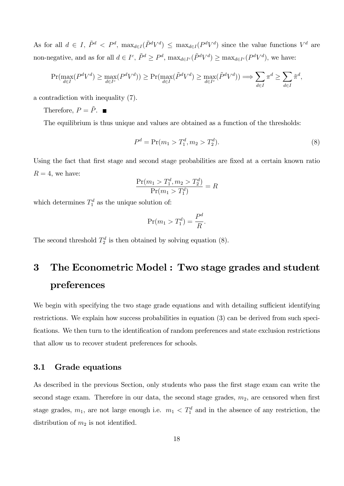As for all  $d \in I$ ,  $\tilde{P}^d < P^d$ ,  $\max_{d \in I} (\tilde{P}^d V^d) \le \max_{d \in I} (P^d V^d)$  since the value functions  $V^d$  are non-negative, and as for all  $d \in I^c$ ,  $\tilde{P}^d \ge P^d$ ,  $\max_{d \in I^c} (\tilde{P}^d V^d) \ge \max_{d \in I^c} (P^d V^d)$ , we have:

$$
\Pr(\max_{d \in I} (P^d V^d) \ge \max_{d \in I^c} (P^d V^d)) \ge \Pr(\max_{d \in I} (\tilde{P}^d V^d) \ge \max_{d \in I^c} (\tilde{P}^d V^d)) \Longrightarrow \sum_{d \in I} \pi^d \ge \sum_{d \in I} \tilde{\pi}^d,
$$

a contradiction with inequality (7).

Therefore,  $P = \tilde{P}$ .

The equilibrium is thus unique and values are obtained as a function of the thresholds:

$$
P^d = \Pr(m_1 > T_1^d, m_2 > T_2^d). \tag{8}
$$

Using the fact that first stage and second stage probabilities are fixed at a certain known ratio  $R = 4$ , we have:

$$
\frac{\Pr(m_1 > T_1^d, m_2 > T_2^d)}{\Pr(m_1 > T_1^d)} = R
$$

which determines  $T_1^d$  as the unique solution of:

$$
\Pr(m_1 > T_1^d) = \frac{P^d}{R}.
$$

The second threshold  $T_2^d$  is then obtained by solving equation (8).

# 3 The Econometric Model : Two stage grades and student preferences

We begin with specifying the two stage grade equations and with detailing sufficient identifying restrictions. We explain how success probabilities in equation (3) can be derived from such specifications. We then turn to the identification of random preferences and state exclusion restrictions that allow us to recover student preferences for schools.

## 3.1 Grade equations

As described in the previous Section, only students who pass the first stage exam can write the second stage exam. Therefore in our data, the second stage grades,  $m_2$ , are censored when first stage grades,  $m_1$ , are not large enough i.e.  $m_1 < T_1^d$  and in the absence of any restriction, the distribution of  $m_2$  is not identified.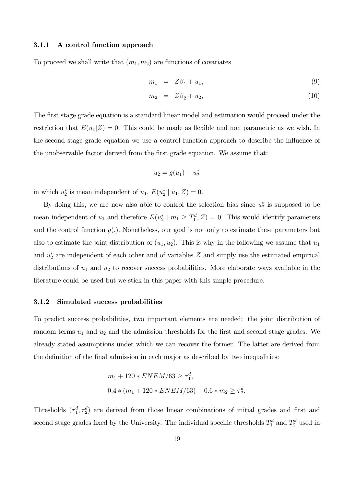#### 3.1.1 A control function approach

To proceed we shall write that  $(m_1, m_2)$  are functions of covariates

$$
m_1 = Z\beta_1 + u_1, \t\t(9)
$$

$$
m_2 = Z\beta_2 + u_2, \tag{10}
$$

The first stage grade equation is a standard linear model and estimation would proceed under the restriction that  $E(u_1|Z) = 0$ . This could be made as flexible and non parametric as we wish. In the second stage grade equation we use a control function approach to describe the ináuence of the unobservable factor derived from the first grade equation. We assume that:

$$
u_2 = g(u_1) + u_2^*
$$

in which  $u_2^*$  is mean independent of  $u_1, E(u_2^* | u_1, Z) = 0.$ 

By doing this, we are now also able to control the selection bias since  $u_2^*$  is supposed to be mean independent of  $u_1$  and therefore  $E(u_2^* \mid m_1 \geq T_1^d, Z) = 0$ . This would identify parameters and the control function  $g(.)$ . Nonetheless, our goal is not only to estimate these parameters but also to estimate the joint distribution of  $(u_1, u_2)$ . This is why in the following we assume that  $u_1$ and  $u_2^*$  are independent of each other and of variables  $Z$  and simply use the estimated empirical distributions of  $u_1$  and  $u_2$  to recover success probabilities. More elaborate ways available in the literature could be used but we stick in this paper with this simple procedure.

#### 3.1.2 Simulated success probabilities

To predict success probabilities, two important elements are needed: the joint distribution of random terms  $u_1$  and  $u_2$  and the admission thresholds for the first and second stage grades. We already stated assumptions under which we can recover the former. The latter are derived from the definition of the final admission in each major as described by two inequalities:

$$
m_1 + 120 * ENEM/63 \ge \tau_1^d,
$$
  

$$
0.4 * (m_1 + 120 * ENEM/63) + 0.6 * m_2 \ge \tau_2^d.
$$

Thresholds  $(\tau_1^d, \tau_2^d)$  are derived from those linear combinations of initial grades and first and second stage grades fixed by the University. The individual specific thresholds  $T_1^d$  and  $T_2^d$  used in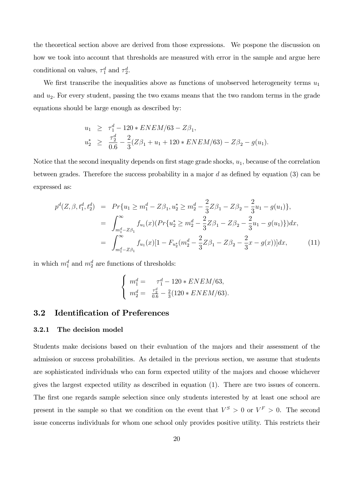the theoretical section above are derived from those expressions. We pospone the discussion on how we took into account that thresholds are measured with error in the sample and argue here conditional on values,  $\tau_1^d$  and  $\tau_2^d$ .

We first transcribe the inequalities above as functions of unobserved heterogeneity terms  $u_1$ and  $u_2$ . For every student, passing the two exams means that the two random terms in the grade equations should be large enough as described by:

$$
u_1 \geq \tau_1^d - 120 * ENEM/63 - Z\beta_1,
$$
  

$$
u_2^* \geq \frac{\tau_2^d}{0.6} - \frac{2}{3}(Z\beta_1 + u_1 + 120 * ENEM/63) - Z\beta_2 - g(u_1).
$$

Notice that the second inequality depends on first stage grade shocks,  $u_1$ , because of the correlation between grades. Therefore the success probability in a major  $d$  as defined by equation (3) can be expressed as:

$$
p^{d}(Z, \beta, t_1^d, t_2^d) = Pr\{u_1 \ge m_1^d - Z\beta_1, u_2^* \ge m_2^d - \frac{2}{3}Z\beta_1 - Z\beta_2 - \frac{2}{3}u_1 - g(u_1)\},
$$
  

$$
= \int_{m_1^d - Z\beta_1}^{\infty} f_{u_1}(x) (Pr\{u_2^* \ge m_2^d - \frac{2}{3}Z\beta_1 - Z\beta_2 - \frac{2}{3}u_1 - g(u_1)\}) dx,
$$
  

$$
= \int_{m_1^d - Z\beta_1}^{\infty} f_{u_1}(x) [1 - F_{u_2^*}(m_2^d - \frac{2}{3}Z\beta_1 - Z\beta_2 - \frac{2}{3}x - g(x))] dx,
$$
 (11)

in which  $m_1^d$  and  $m_2^d$  are functions of thresholds:

$$
\begin{cases}\nm_1^d = \n\pi_1^d - 120 * ENEM/63, \\
m_2^d = \frac{\tau_2^d}{0.6} - \frac{2}{3}(120 * ENEM/63).\n\end{cases}
$$

## 3.2 Identification of Preferences

#### 3.2.1 The decision model

Students make decisions based on their evaluation of the majors and their assessment of the admission or success probabilities. As detailed in the previous section, we assume that students are sophisticated individuals who can form expected utility of the majors and choose whichever gives the largest expected utility as described in equation (1). There are two issues of concern. The first one regards sample selection since only students interested by at least one school are present in the sample so that we condition on the event that  $V^S > 0$  or  $V^F > 0$ . The second issue concerns individuals for whom one school only provides positive utility. This restricts their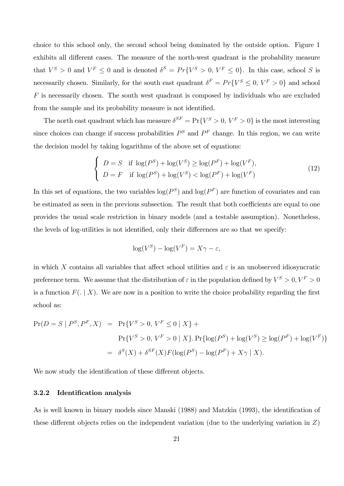choice to this school only, the second school being dominated by the outside option. Figure 1 exhibits all different cases. The measure of the north-west quadrant is the probability measure that  $V^S > 0$  and  $V^F \leq 0$  and is denoted  $\delta^S = Pr\{V^S > 0, V^F \leq 0\}$ . In this case, school S is necessarily chosen. Similarly, for the south east quadrant  $\delta^F = Pr{V^S \le 0, V^F > 0}$  and school  $F$  is necessarily chosen. The south west quadrant is composed by individuals who are excluded from the sample and its probability measure is not identified.

The north east quadrant which has measure  $\delta^{SF} = \Pr\{V^S > 0, V^F > 0\}$  is the most interesting since choices can change if success probabilities  $P^S$  and  $P^F$  change. In this region, we can write the decision model by taking logarithms of the above set of equations:

$$
\begin{cases}\nD = S & \text{if } \log(P^S) + \log(V^S) \ge \log(P^F) + \log(V^F), \\
D = F & \text{if } \log(P^S) + \log(V^S) < \log(P^F) + \log(V^F)\n\end{cases} \tag{12}
$$

In this set of equations, the two variables  $log(P^S)$  and  $log(P^F)$  are function of covariates and can be estimated as seen in the previous subsection. The result that both coefficients are equal to one provides the usual scale restriction in binary models (and a testable assumption). Nonetheless, the levels of log-utilities is not identified, only their differences are so that we specify:

$$
\log(V^S) - \log(V^F) = X\gamma - \varepsilon,
$$

in which X contains all variables that affect school utilities and  $\varepsilon$  is an unobserved idiosyncratic preference term. We assume that the distribution of  $\varepsilon$  in the population defined by  $V^S > 0, V^F > 0$ is a function  $F(. | X)$ . We are now in a position to write the choice probability regarding the first school as:

$$
\Pr(D = S \mid P^S, P^F, X) = \Pr\{V^S > 0, V^F \le 0 \mid X\} +
$$
\n
$$
\Pr\{V^S > 0, V^F > 0 \mid X\}. \Pr\{\log(P^S) + \log(V^S) \ge \log(P^F) + \log(V^F)\}
$$
\n
$$
= \delta^S(X) + \delta^{SF}(X)F(\log(P^S) - \log(P^F) + X\gamma \mid X).
$$

We now study the identification of these different objects.

#### 3.2.2 Identification analysis

As is well known in binary models since Manski (1988) and Matzkin (1993), the identification of these different objects relies on the independent variation (due to the underlying variation in  $Z$ )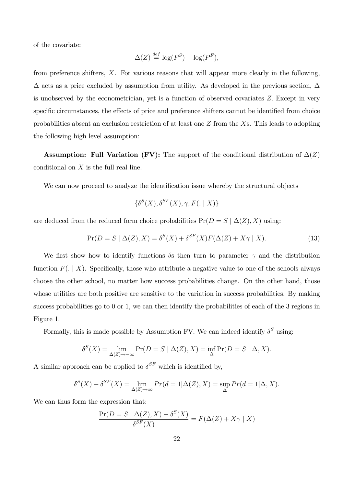of the covariate:

$$
\Delta(Z) \stackrel{def}{=} \log(P^S) - \log(P^F),
$$

from preference shifters, X. For various reasons that will appear more clearly in the following,  $\Delta$  acts as a price excluded by assumption from utility. As developed in the previous section,  $\Delta$ is unobserved by the econometrician, yet is a function of observed covariates Z: Except in very specific circumstances, the effects of price and preference shifters cannot be identified from choice probabilities absent an exclusion restriction of at least one  $Z$  from the  $X$ s. This leads to adopting the following high level assumption:

**Assumption: Full Variation (FV):** The support of the conditional distribution of  $\Delta(Z)$ conditional on  $X$  is the full real line.

We can now proceed to analyze the identification issue whereby the structural objects

$$
\{\delta^S(X), \delta^{SF}(X), \gamma, F(. \mid X)\}
$$

are deduced from the reduced form choice probabilities  $Pr(D = S | \Delta(Z), X)$  using:

$$
\Pr(D = S \mid \Delta(Z), X) = \delta^{S}(X) + \delta^{SF}(X)F(\Delta(Z) + X\gamma \mid X). \tag{13}
$$

We first show how to identify functions  $\delta s$  then turn to parameter  $\gamma$  and the distribution function  $F(. \mid X)$ . Specifically, those who attribute a negative value to one of the schools always choose the other school, no matter how success probabilities change. On the other hand, those whose utilities are both positive are sensitive to the variation in success probabilities. By making success probabilities go to 0 or 1, we can then identify the probabilities of each of the 3 regions in Figure 1.

Formally, this is made possible by Assumption FV. We can indeed identify  $\delta^S$  using:

$$
\delta^{S}(X) = \lim_{\Delta(Z) \to -\infty} \Pr(D = S \mid \Delta(Z), X) = \inf_{\Delta} \Pr(D = S \mid \Delta, X).
$$

A similar approach can be applied to  $\delta^{SF}$  which is identified by,

$$
\delta^{S}(X) + \delta^{SF}(X) = \lim_{\Delta(Z) \to \infty} Pr(d = 1 | \Delta(Z), X) = \sup_{\Delta} Pr(d = 1 | \Delta, X).
$$

We can thus form the expression that:

$$
\frac{\Pr(D = S \mid \Delta(Z), X) - \delta^{S}(X)}{\delta^{SF}(X)} = F(\Delta(Z) + X\gamma \mid X)
$$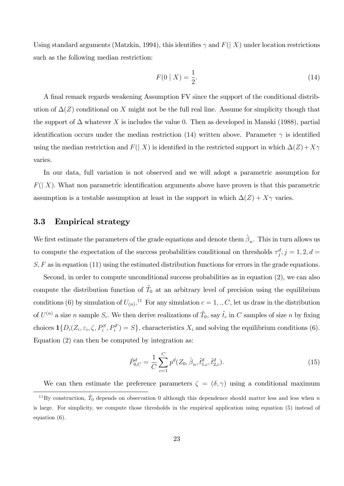Using standard arguments (Matzkin, 1994), this identifies  $\gamma$  and  $F(|X)$  under location restrictions such as the following median restriction:

$$
F(0 \mid X) = \frac{1}{2}.\tag{14}
$$

A final remark regards weakening Assumption FV since the support of the conditional distribution of  $\Delta(Z)$  conditional on X might not be the full real line. Assume for simplicity though that the support of  $\Delta$  whatever X is includes the value 0. Then as developed in Manski (1988), partial identification occurs under the median restriction (14) written above. Parameter  $\gamma$  is identified using the median restriction and  $F(|X)$  is identified in the restricted support in which  $\Delta(Z)+X\gamma$ varies.

In our data, full variation is not observed and we will adopt a parametric assumption for  $F(|X)$ . What non parametric identification arguments above have proven is that this parametric assumption is a testable assumption at least in the support in which  $\Delta(Z) + X\gamma$  varies.

## 3.3 Empirical strategy

We first estimate the parameters of the grade equations and denote them  $\hat{\beta}_n$ . This in turn allows us to compute the expectation of the success probabilities conditional on thresholds  $\tau_j^d$ ,  $j = 1, 2, d =$  $S, F$  as in equation (11) using the estimated distribution functions for errors in the grade equations.

Second, in order to compute unconditional success probabilities as in equation (2), we can also compute the distribution function of  $\tilde{T}_0$  at an arbitrary level of precision using the equilibrium conditions (6) by simulation of  $U_{(n)}$ .<sup>11</sup> For any simulation  $c = 1, ., C$ , let us draw in the distribution of  $U^{(n)}$  a size n sample  $S_c$ . We then derive realizations of  $\tilde{T}_0$ , say  $\tilde{t}_c$  in C samples of size n by fixing choices  $\mathbf{1}\{D_i(Z_i, \varepsilon_i, \zeta, P_i^S, P_i^F) = S\}$ , characteristics  $X_i$  and solving the equilibrium conditions (6). Equation (2) can then be computed by integration as:

$$
\hat{P}_{0,C}^{d} = \frac{1}{C} \sum_{c=1}^{C} p^{d} (Z_0, \hat{\beta}_n, \tilde{t}_{1,c}^{d}, \tilde{t}_{2,c}^{d}).
$$
\n(15)

We can then estimate the preference parameters  $\zeta = (\delta, \gamma)$  using a conditional maximum

<sup>&</sup>lt;sup>11</sup>By construction,  $\tilde{T}_0$  depends on observation 0 although this dependence should matter less and less when n is large. For simplicity, we compute those thresholds in the empirical application using equation (5) instead of equation (6).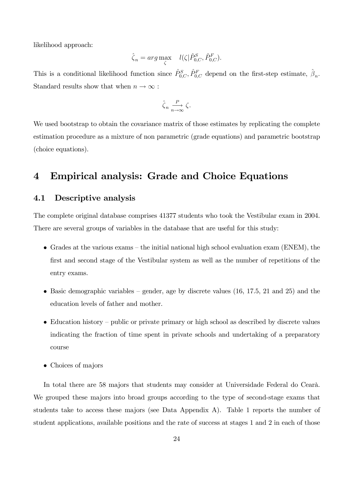likelihood approach:

$$
\hat{\zeta}_n = \arg \max_{\zeta} \quad l(\zeta | \hat{P}_{0,C}^S, \hat{P}_{0,C}^F).
$$

This is a conditional likelihood function since  $\hat{P}_{0,C}^S$ ,  $\hat{P}_{0,C}^F$  depend on the first-step estimate,  $\hat{\beta}_n$ . Standard results show that when  $n \to \infty$  :

$$
\hat{\zeta}_n \xrightarrow[n \to \infty]{P} \zeta.
$$

We used bootstrap to obtain the covariance matrix of those estimates by replicating the complete estimation procedure as a mixture of non parametric (grade equations) and parametric bootstrap (choice equations).

# 4 Empirical analysis: Grade and Choice Equations

## 4.1 Descriptive analysis

The complete original database comprises 41377 students who took the Vestibular exam in 2004. There are several groups of variables in the database that are useful for this study:

- Grades at the various exams the initial national high school evaluation exam (ENEM), the first and second stage of the Vestibular system as well as the number of repetitions of the entry exams.
- $\bullet$  Basic demographic variables gender, age by discrete values (16, 17.5, 21 and 25) and the education levels of father and mother.
- $\bullet$  Education history public or private primary or high school as described by discrete values indicating the fraction of time spent in private schools and undertaking of a preparatory course
- Choices of majors

In total there are 58 majors that students may consider at Universidade Federal do Cearà. We grouped these majors into broad groups according to the type of second-stage exams that students take to access these majors (see Data Appendix A). Table 1 reports the number of student applications, available positions and the rate of success at stages 1 and 2 in each of those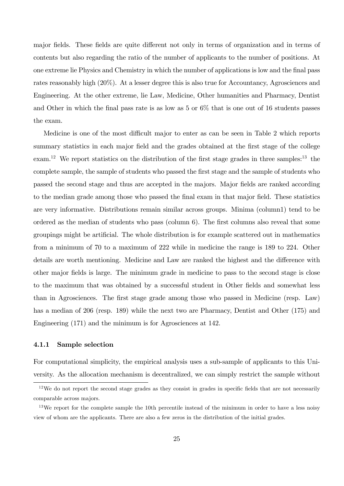major fields. These fields are quite different not only in terms of organization and in terms of contents but also regarding the ratio of the number of applicants to the number of positions. At one extreme lie Physics and Chemistry in which the number of applications is low and the Önal pass rates reasonably high (20%). At a lesser degree this is also true for Accountancy, Agrosciences and Engineering. At the other extreme, lie Law, Medicine, Other humanities and Pharmacy, Dentist and Other in which the final pass rate is as low as  $5 \text{ or } 6\%$  that is one out of 16 students passes the exam.

Medicine is one of the most difficult major to enter as can be seen in Table 2 which reports summary statistics in each major field and the grades obtained at the first stage of the college exam.<sup>12</sup> We report statistics on the distribution of the first stage grades in three samples:<sup>13</sup> the complete sample, the sample of students who passed the first stage and the sample of students who passed the second stage and thus are accepted in the majors. Major Öelds are ranked according to the median grade among those who passed the Önal exam in that major Öeld. These statistics are very informative. Distributions remain similar across groups. Minima (column1) tend to be ordered as the median of students who pass (column 6). The first columns also reveal that some groupings might be artificial. The whole distribution is for example scattered out in mathematics from a minimum of 70 to a maximum of 222 while in medicine the range is 189 to 224. Other details are worth mentioning. Medicine and Law are ranked the highest and the difference with other major fields is large. The minimum grade in medicine to pass to the second stage is close to the maximum that was obtained by a successful student in Other fields and somewhat less than in Agrosciences. The first stage grade among those who passed in Medicine (resp. Law) has a median of 206 (resp. 189) while the next two are Pharmacy, Dentist and Other (175) and Engineering (171) and the minimum is for Agrosciences at 142.

#### 4.1.1 Sample selection

For computational simplicity, the empirical analysis uses a sub-sample of applicants to this University. As the allocation mechanism is decentralized, we can simply restrict the sample without

 $12$ We do not report the second stage grades as they consist in grades in specific fields that are not necessarily comparable across majors.

 $13\,\text{We report for the complete sample the 10th percentile instead of the minimum in order to have a less noisy.}$ view of whom are the applicants. There are also a few zeros in the distribution of the initial grades.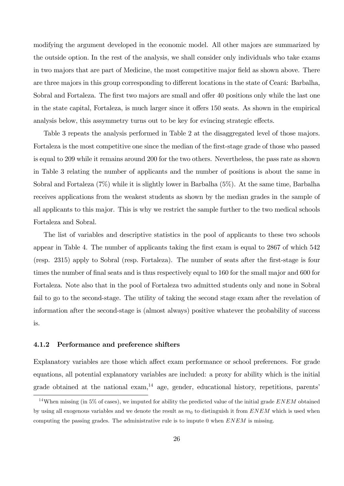modifying the argument developed in the economic model. All other majors are summarized by the outside option. In the rest of the analysis, we shall consider only individuals who take exams in two majors that are part of Medicine, the most competitive major field as shown above. There are three majors in this group corresponding to different locations in the state of Ceará: Barbalha, Sobral and Fortaleza. The first two majors are small and offer 40 positions only while the last one in the state capital, Fortaleza, is much larger since it offers 150 seats. As shown in the empirical analysis below, this assymmetry turns out to be key for evincing strategic effects.

Table 3 repeats the analysis performed in Table 2 at the disaggregated level of those majors. Fortaleza is the most competitive one since the median of the first-stage grade of those who passed is equal to 209 while it remains around 200 for the two others. Nevertheless, the pass rate as shown in Table 3 relating the number of applicants and the number of positions is about the same in Sobral and Fortaleza (7%) while it is slightly lower in Barbalha (5%). At the same time, Barbalha receives applications from the weakest students as shown by the median grades in the sample of all applicants to this major. This is why we restrict the sample further to the two medical schools Fortaleza and Sobral.

The list of variables and descriptive statistics in the pool of applicants to these two schools appear in Table 4. The number of applicants taking the first exam is equal to 2867 of which 542 (resp. 2315) apply to Sobral (resp. Fortaleza). The number of seats after the Örst-stage is four times the number of final seats and is thus respectively equal to 160 for the small major and 600 for Fortaleza. Note also that in the pool of Fortaleza two admitted students only and none in Sobral fail to go to the second-stage. The utility of taking the second stage exam after the revelation of information after the second-stage is (almost always) positive whatever the probability of success is.

#### 4.1.2 Performance and preference shifters

Explanatory variables are those which affect exam performance or school preferences. For grade equations, all potential explanatory variables are included: a proxy for ability which is the initial grade obtained at the national exam,<sup>14</sup> age, gender, educational history, repetitions, parents<sup>'</sup>

<sup>&</sup>lt;sup>14</sup>When missing (in 5% of cases), we imputed for ability the predicted value of the initial grade  $ENEM$  obtained by using all exogenous variables and we denote the result as  $m_0$  to distinguish it from ENEM which is used when computing the passing grades. The administrative rule is to impute 0 when  $ENEM$  is missing.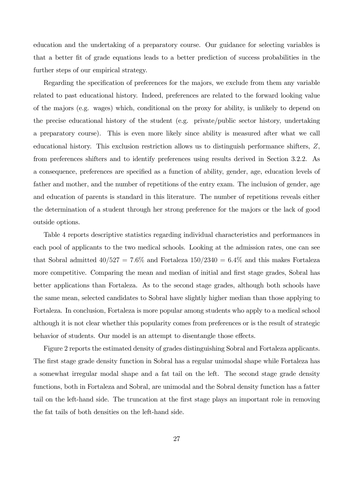education and the undertaking of a preparatory course. Our guidance for selecting variables is that a better Öt of grade equations leads to a better prediction of success probabilities in the further steps of our empirical strategy.

Regarding the specification of preferences for the majors, we exclude from them any variable related to past educational history. Indeed, preferences are related to the forward looking value of the majors (e.g. wages) which, conditional on the proxy for ability, is unlikely to depend on the precise educational history of the student (e.g. private/public sector history, undertaking a preparatory course). This is even more likely since ability is measured after what we call educational history. This exclusion restriction allows us to distinguish performance shifters, Z, from preferences shifters and to identify preferences using results derived in Section 3.2.2. As a consequence, preferences are specified as a function of ability, gender, age, education levels of father and mother, and the number of repetitions of the entry exam. The inclusion of gender, age and education of parents is standard in this literature. The number of repetitions reveals either the determination of a student through her strong preference for the majors or the lack of good outside options.

Table 4 reports descriptive statistics regarding individual characteristics and performances in each pool of applicants to the two medical schools. Looking at the admission rates, one can see that Sobral admitted  $40/527 = 7.6\%$  and Fortaleza  $150/2340 = 6.4\%$  and this makes Fortaleza more competitive. Comparing the mean and median of initial and first stage grades, Sobral has better applications than Fortaleza. As to the second stage grades, although both schools have the same mean, selected candidates to Sobral have slightly higher median than those applying to Fortaleza. In conclusion, Fortaleza is more popular among students who apply to a medical school although it is not clear whether this popularity comes from preferences or is the result of strategic behavior of students. Our model is an attempt to disentangle those effects.

Figure 2 reports the estimated density of grades distinguishing Sobral and Fortaleza applicants. The first stage grade density function in Sobral has a regular unimodal shape while Fortaleza has a somewhat irregular modal shape and a fat tail on the left. The second stage grade density functions, both in Fortaleza and Sobral, are unimodal and the Sobral density function has a fatter tail on the left-hand side. The truncation at the first stage plays an important role in removing the fat tails of both densities on the left-hand side.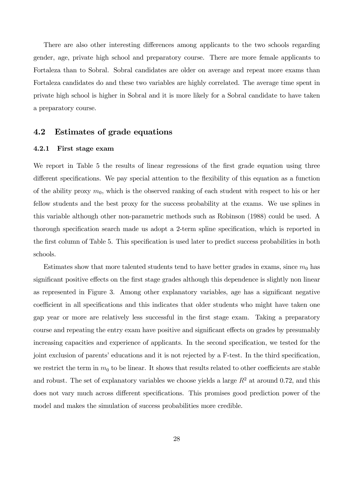There are also other interesting differences among applicants to the two schools regarding gender, age, private high school and preparatory course. There are more female applicants to Fortaleza than to Sobral. Sobral candidates are older on average and repeat more exams than Fortaleza candidates do and these two variables are highly correlated. The average time spent in private high school is higher in Sobral and it is more likely for a Sobral candidate to have taken a preparatory course.

## 4.2 Estimates of grade equations

### 4.2.1 First stage exam

We report in Table 5 the results of linear regressions of the first grade equation using three different specifications. We pay special attention to the flexibility of this equation as a function of the ability proxy  $m_0$ , which is the observed ranking of each student with respect to his or her fellow students and the best proxy for the success probability at the exams. We use splines in this variable although other non-parametric methods such as Robinson (1988) could be used. A thorough specification search made us adopt a 2-term spline specification, which is reported in the first column of Table 5. This specification is used later to predict success probabilities in both schools.

Estimates show that more talented students tend to have better grades in exams, since  $m_0$  has significant positive effects on the first stage grades although this dependence is slightly non linear as represented in Figure 3. Among other explanatory variables, age has a significant negative coefficient in all specifications and this indicates that older students who might have taken one gap year or more are relatively less successful in the Örst stage exam. Taking a preparatory course and repeating the entry exam have positive and significant effects on grades by presumably increasing capacities and experience of applicants. In the second specification, we tested for the joint exclusion of parents' educations and it is not rejected by a F-test. In the third specification, we restrict the term in  $m_0$  to be linear. It shows that results related to other coefficients are stable and robust. The set of explanatory variables we choose yields a large  $R^2$  at around 0.72, and this does not vary much across different specifications. This promises good prediction power of the model and makes the simulation of success probabilities more credible.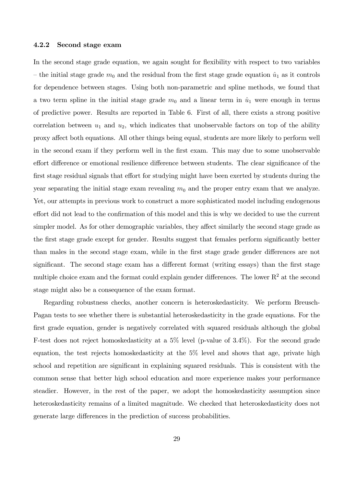#### 4.2.2 Second stage exam

In the second stage grade equation, we again sought for flexibility with respect to two variables – the initial stage grade  $m_0$  and the residual from the first stage grade equation  $\hat{u}_1$  as it controls for dependence between stages. Using both non-parametric and spline methods, we found that a two term spline in the initial stage grade  $m_0$  and a linear term in  $\hat{u}_1$  were enough in terms of predictive power. Results are reported in Table 6. First of all, there exists a strong positive correlation between  $u_1$  and  $u_2$ , which indicates that unobservable factors on top of the ability proxy affect both equations. All other things being equal, students are more likely to perform well in the second exam if they perform well in the first exam. This may due to some unobservable effort difference or emotional resilience difference between students. The clear significance of the first stage residual signals that effort for studying might have been exerted by students during the year separating the initial stage exam revealing  $m_0$  and the proper entry exam that we analyze. Yet, our attempts in previous work to construct a more sophisticated model including endogenous effort did not lead to the confirmation of this model and this is why we decided to use the current simpler model. As for other demographic variables, they affect similarly the second stage grade as the first stage grade except for gender. Results suggest that females perform significantly better than males in the second stage exam, while in the first stage grade gender differences are not significant. The second stage exam has a different format (writing essays) than the first stage multiple choice exam and the format could explain gender differences. The lower  $R^2$  at the second stage might also be a consequence of the exam format.

Regarding robustness checks, another concern is heteroskedasticity. We perform Breusch-Pagan tests to see whether there is substantial heteroskedasticity in the grade equations. For the first grade equation, gender is negatively correlated with squared residuals although the global F-test does not reject homoskedasticity at a 5% level (p-value of 3.4%). For the second grade equation, the test rejects homoskedasticity at the 5% level and shows that age, private high school and repetition are significant in explaining squared residuals. This is consistent with the common sense that better high school education and more experience makes your performance steadier. However, in the rest of the paper, we adopt the homoskedasticity assumption since heteroskedasticity remains of a limited magnitude. We checked that heteroskedasticity does not generate large differences in the prediction of success probabilities.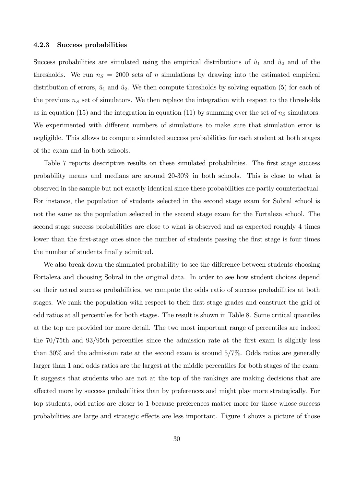#### 4.2.3 Success probabilities

Success probabilities are simulated using the empirical distributions of  $\hat{u}_1$  and  $\hat{u}_2$  and of the thresholds. We run  $n<sub>S</sub> = 2000$  sets of n simulations by drawing into the estimated empirical distribution of errors,  $\hat{u}_1$  and  $\hat{u}_2$ . We then compute thresholds by solving equation (5) for each of the previous  $n<sub>S</sub>$  set of simulators. We then replace the integration with respect to the thresholds as in equation (15) and the integration in equation (11) by summing over the set of  $n<sub>S</sub>$  simulators. We experimented with different numbers of simulations to make sure that simulation error is negligible. This allows to compute simulated success probabilities for each student at both stages of the exam and in both schools.

Table 7 reports descriptive results on these simulated probabilities. The first stage success probability means and medians are around 20-30% in both schools. This is close to what is observed in the sample but not exactly identical since these probabilities are partly counterfactual. For instance, the population of students selected in the second stage exam for Sobral school is not the same as the population selected in the second stage exam for the Fortaleza school. The second stage success probabilities are close to what is observed and as expected roughly 4 times lower than the first-stage ones since the number of students passing the first stage is four times the number of students finally admitted.

We also break down the simulated probability to see the difference between students choosing Fortaleza and choosing Sobral in the original data. In order to see how student choices depend on their actual success probabilities, we compute the odds ratio of success probabilities at both stages. We rank the population with respect to their first stage grades and construct the grid of odd ratios at all percentiles for both stages. The result is shown in Table 8. Some critical quantiles at the top are provided for more detail. The two most important range of percentiles are indeed the 70/75th and 93/95th percentiles since the admission rate at the first exam is slightly less than 30% and the admission rate at the second exam is around 5/7%. Odds ratios are generally larger than 1 and odds ratios are the largest at the middle percentiles for both stages of the exam. It suggests that students who are not at the top of the rankings are making decisions that are a§ected more by success probabilities than by preferences and might play more strategically. For top students, odd ratios are closer to 1 because preferences matter more for those whose success probabilities are large and strategic effects are less important. Figure 4 shows a picture of those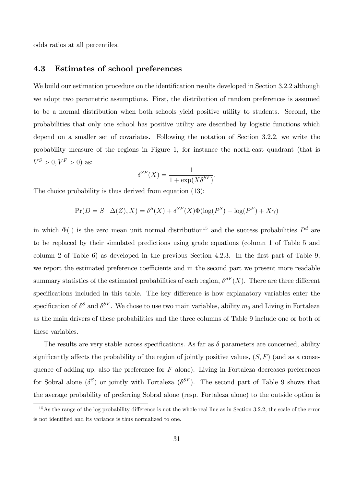odds ratios at all percentiles.

## 4.3 Estimates of school preferences

We build our estimation procedure on the identification results developed in Section 3.2.2 although we adopt two parametric assumptions. First, the distribution of random preferences is assumed to be a normal distribution when both schools yield positive utility to students. Second, the probabilities that only one school has positive utility are described by logistic functions which depend on a smaller set of covariates. Following the notation of Section 3.2.2, we write the probability measure of the regions in Figure 1, for instance the north-east quadrant (that is  $V^S > 0, V^F > 0$  as:

$$
\delta^{SF}(X) = \frac{1}{1 + \exp(X\delta^{SF})}.
$$

The choice probability is thus derived from equation (13):

$$
Pr(D = S | \Delta(Z), X) = \delta^{S}(X) + \delta^{SF}(X)\Phi(\log(P^{S}) - \log(P^{F}) + X\gamma)
$$

in which  $\Phi(.)$  is the zero mean unit normal distribution<sup>15</sup> and the success probabilities  $P<sup>d</sup>$  are to be replaced by their simulated predictions using grade equations (column 1 of Table 5 and column 2 of Table 6) as developed in the previous Section 4.2.3. In the first part of Table 9, we report the estimated preference coefficients and in the second part we present more readable summary statistics of the estimated probabilities of each region,  $\delta^{SF}(X)$ . There are three different specifications included in this table. The key difference is how explanatory variables enter the specification of  $\delta^S$  and  $\delta^{SF}$ . We chose to use two main variables, ability  $m_0$  and Living in Fortaleza as the main drivers of these probabilities and the three columns of Table 9 include one or both of these variables.

The results are very stable across specifications. As far as  $\delta$  parameters are concerned, ability significantly affects the probability of the region of jointly positive values,  $(S, F)$  (and as a consequence of adding up, also the preference for  $F$  alone). Living in Fortaleza decreases preferences for Sobral alone  $(\delta^S)$  or jointly with Fortaleza  $(\delta^{SF})$ . The second part of Table 9 shows that the average probability of preferring Sobral alone (resp. Fortaleza alone) to the outside option is

 $15$ As the range of the log probability difference is not the whole real line as in Section 3.2.2, the scale of the error is not identified and its variance is thus normalized to one.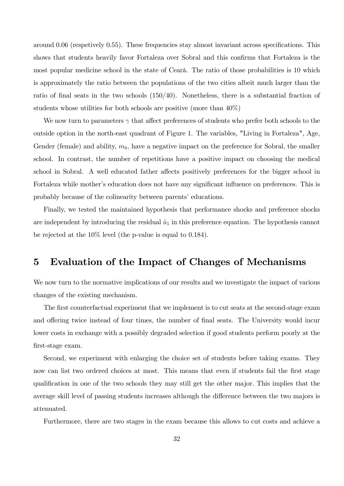around  $0.06$  (respetively  $0.55$ ). These frequencies stay almost invariant across specifications. This shows that students heavily favor Fortaleza over Sobral and this confirms that Fortaleza is the most popular medicine school in the state of Cearà. The ratio of those probabilities is 10 which is approximately the ratio between the populations of the two cities albeit much larger than the ratio of final seats in the two schools  $(150/40)$ . Nonetheless, there is a substantial fraction of students whose utilities for both schools are positive (more than 40%)

We now turn to parameters  $\gamma$  that affect preferences of students who prefer both schools to the outside option in the north-east quadrant of Figure 1. The variables, "Living in Fortaleza", Age, Gender (female) and ability,  $m_0$ , have a negative impact on the preference for Sobral, the smaller school. In contrast, the number of repetitions have a positive impact on choosing the medical school in Sobral. A well educated father affects positively preferences for the bigger school in Fortaleza while mother's education does not have any significant influence on preferences. This is probably because of the colinearity between parents' educations.

Finally, we tested the maintained hypothesis that performance shocks and preference shocks are independent by introducing the residual  $\hat{u}_1$  in this preference equation. The hypothesis cannot be rejected at the 10% level (the p-value is equal to 0.184).

# 5 Evaluation of the Impact of Changes of Mechanisms

We now turn to the normative implications of our results and we investigate the impact of various changes of the existing mechanism.

The first counterfactual experiment that we implement is to cut seats at the second-stage exam and offering twice instead of four times, the number of final seats. The University would incur lower costs in exchange with a possibly degraded selection if good students perform poorly at the Örst-stage exam.

Second, we experiment with enlarging the choice set of students before taking exams. They now can list two ordered choices at most. This means that even if students fail the first stage qualification in one of the two schools they may still get the other major. This implies that the average skill level of passing students increases although the difference between the two majors is attenuated.

Furthermore, there are two stages in the exam because this allows to cut costs and achieve a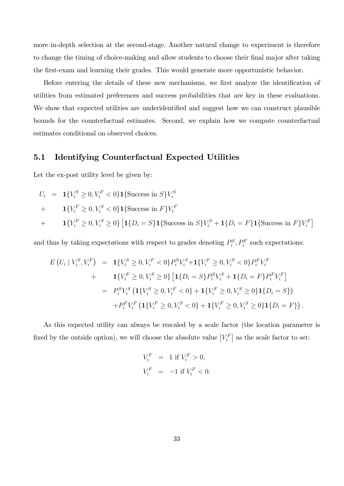more in-depth selection at the second-stage. Another natural change to experiment is therefore to change the timing of choice-making and allow students to choose their final major after taking the Örst-exam and learning their grades. This would generate more opportunistic behavior.

Before entering the details of these new mechanisms, we first analyze the identification of utilities from estimated preferences and success probabilities that are key in these evaluations. We show that expected utilities are underidentified and suggest how we can construct plausible bounds for the counterfactual estimates. Second, we explain how we compute counterfactual estimates conditional on observed choices.

### 5.1 Identifying Counterfactual Expected Utilities

Let the ex-post utility level be given by:

$$
U_i = \mathbf{1}\{V_i^S \ge 0, V_i^F < 0\} \mathbf{1}\{\text{Success in } S\} V_i^S
$$

$$
+\qquad \mathbf{1}\{V_i^F \ge 0, V_i^S < 0\}\mathbf{1}\{\text{Success in } F\}V_i^F
$$

+ 
$$
\mathbf{1}\{V_i^F \geq 0, V_i^S \geq 0\} \left[\mathbf{1}\{D_i = S\}\mathbf{1}\{\text{Success in } S\}V_i^S + \mathbf{1}\{D_i = F\}\mathbf{1}\{\text{Success in } F\}V_i^F\right]
$$

and thus by taking expectations with respect to grades denoting  $P_i^S, P_i^F$  such expectations:

$$
E\left(U_i \mid V_i^S, V_i^F\right) = \mathbf{1}\{V_i^S \ge 0, V_i^F < 0\} P_i^S V_i^S + \mathbf{1}\{V_i^F \ge 0, V_i^S < 0\} P_i^F V_i^F
$$
\n
$$
+ \mathbf{1}\{V_i^F \ge 0, V_i^S \ge 0\} \left[\mathbf{1}\{D_i = S\} P_i^S V_i^S + \mathbf{1}\{D_i = F\} P_i^F V_i^F\right]
$$
\n
$$
= P_i^S V_i^S \left(\mathbf{1}\{V_i^S \ge 0, V_i^F < 0\} + \mathbf{1}\{V_i^F \ge 0, V_i^S \ge 0\} \mathbf{1}\{D_i = S\}\right)
$$
\n
$$
+ P_i^F V_i^F \left(\mathbf{1}\{V_i^F \ge 0, V_i^S < 0\} + \mathbf{1}\{V_i^F \ge 0, V_i^S \ge 0\} \mathbf{1}\{D_i = F\}\right).
$$

As this expected utility can always be rescaled by a scale factor (the location parameter is fixed by the outside option), we will choose the absolute value  $|V_i^F|$  as the scale factor to set:

$$
V_i^F = 1 \text{ if } V_i^F > 0,
$$
  

$$
V_i^F = -1 \text{ if } V_i^F < 0.
$$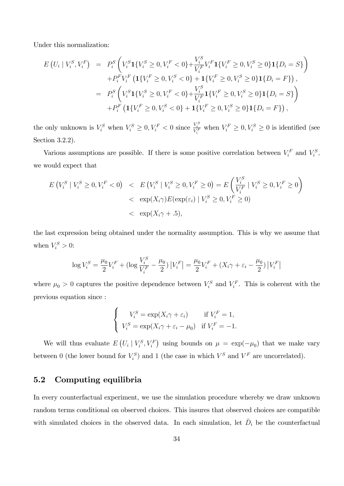Under this normalization:

$$
E\left(U_{i} \mid V_{i}^{S}, V_{i}^{F}\right) = P_{i}^{S}\left(V_{i}^{S}\mathbf{1}\{V_{i}^{S} \geq 0, V_{i}^{F} < 0\} + \frac{V_{i}^{S}}{V_{i}^{F}}V_{i}^{F}\mathbf{1}\{V_{i}^{F} \geq 0, V_{i}^{S} \geq 0\}\mathbf{1}\{D_{i} = S\}\right) \\
+ P_{i}^{F}V_{i}^{F}\left(\mathbf{1}\{V_{i}^{F} \geq 0, V_{i}^{S} < 0\} + \mathbf{1}\{V_{i}^{F} \geq 0, V_{i}^{S} \geq 0\}\mathbf{1}\{D_{i} = F\}\right), \\
= P_{i}^{S}\left(V_{i}^{S}\mathbf{1}\{V_{i}^{S} \geq 0, V_{i}^{F} < 0\} + \frac{V_{i}^{S}}{V_{i}^{F}}\mathbf{1}\{V_{i}^{F} \geq 0, V_{i}^{S} \geq 0\}\mathbf{1}\{D_{i} = S\}\right) \\
+ P_{i}^{F}\left(\mathbf{1}\{V_{i}^{F} \geq 0, V_{i}^{S} < 0\} + \mathbf{1}\{V_{i}^{F} \geq 0, V_{i}^{S} \geq 0\}\mathbf{1}\{D_{i} = F\}\right),
$$

the only unknown is  $V_i^S$  when  $V_i^S \geq 0, V_i^F < 0$  since  $\frac{V_i^S}{V_i^F}$  when  $V_i^F \geq 0, V_i^S \geq 0$  is identified (see Section 3.2.2).

Various assumptions are possible. If there is some positive correlation between  $V_i^F$  and  $V_i^S$ , we would expect that

$$
E\left(V_i^S \mid V_i^S \ge 0, V_i^F < 0\right) < E\left(V_i^S \mid V_i^S \ge 0, V_i^F \ge 0\right) = E\left(\frac{V_i^S}{V_i^F} \mid V_i^S \ge 0, V_i^F \ge 0\right) \\
&< \exp(X_i \gamma) E(\exp(\varepsilon_i) \mid V_i^S \ge 0, V_i^F \ge 0) \\
&< \exp(X_i \gamma + 0.5),
$$

the last expression being obtained under the normality assumption. This is why we assume that when  $V_i^S > 0$ :

$$
\log V_i^S = \frac{\mu_0}{2} V_i^F + (\log \frac{V_i^S}{V_i^F} - \frac{\mu_0}{2}) |V_i^F| = \frac{\mu_0}{2} V_i^F + (X_i \gamma + \varepsilon_i - \frac{\mu_0}{2}) |V_i^F|
$$

where  $\mu_0 > 0$  captures the positive dependence between  $V_i^S$  and  $V_i^F$ . This is coherent with the previous equation since :

$$
\begin{cases}\nV_i^S = \exp(X_i \gamma + \varepsilon_i) & \text{if } V_i^F = 1, \\
V_i^S = \exp(X_i \gamma + \varepsilon_i - \mu_0) & \text{if } V_i^F = -1.\n\end{cases}
$$

We will thus evaluate  $E\left(U_i \mid V_i^S, V_i^F\right)$  using bounds on  $\mu = \exp(-\mu_0)$  that we make vary between 0 (the lower bound for  $V_i^S$ ) and 1 (the case in which  $V^S$  and  $V^F$  are uncorrelated).

## 5.2 Computing equilibria

In every counterfactual experiment, we use the simulation procedure whereby we draw unknown random terms conditional on observed choices. This insures that observed choices are compatible with simulated choices in the observed data. In each simulation, let  $\bar{D}_i$  be the counterfactual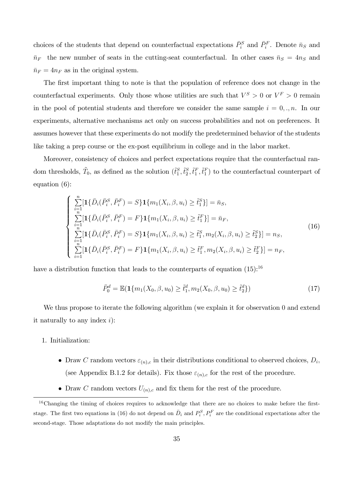choices of the students that depend on counterfactual expectations  $\bar{P}_i^S$  and  $\bar{P}_i^F$ . Denote  $\bar{n}_S$  and  $\bar{n}_F$  the new number of seats in the cutting-seat counterfactual. In other cases  $\bar{n}_S = 4n_S$  and  $\bar{n}_F = 4n_F$  as in the original system.

The first important thing to note is that the population of reference does not change in the counterfactual experiments. Only those whose utilities are such that  $V^S > 0$  or  $V^F > 0$  remain in the pool of potential students and therefore we consider the same sample  $i = 0, \ldots, n$ . In our experiments, alternative mechanisms act only on success probabilities and not on preferences. It assumes however that these experiments do not modify the predetermined behavior of the students like taking a prep course or the ex-post equilibrium in college and in the labor market.

Moreover, consistency of choices and perfect expectations require that the counterfactual random thresholds,  $\tilde{T}_0$ , as defined as the solution  $(\tilde{t}_1^S, \tilde{t}_2^S, \tilde{t}_1^F, \tilde{t}_1^F)$  to the counterfactual counterpart of equation (6):

$$
\begin{cases}\n\sum_{i=1}^{n} \left[ \mathbf{1} \{\bar{D}_{i}(\bar{P}_{i}^{S}, \bar{P}_{i}^{F}) = S \} \mathbf{1} \{ m_{1}(X_{i}, \beta, u_{i}) \geq \tilde{t}_{1}^{S} \} \right] = \bar{n}_{S}, \\
\sum_{i=1}^{n} \left[ \mathbf{1} \{\bar{D}_{i}(\bar{P}_{i}^{S}, \bar{P}_{i}^{F}) = F \} \mathbf{1} \{ m_{1}(X_{i}, \beta, u_{i}) \geq \tilde{t}_{1}^{F} \} \right] = \bar{n}_{F}, \\
\sum_{i=1}^{n} \left[ \mathbf{1} \{\bar{D}_{i}(\bar{P}_{i}^{S}, \bar{P}_{i}^{F}) = S \} \mathbf{1} \{ m_{1}(X_{i}, \beta, u_{i}) \geq \tilde{t}_{1}^{S}, m_{2}(X_{i}, \beta, u_{i}) \geq \tilde{t}_{2}^{S} \} \right] = n_{S}, \\
\sum_{i=1}^{n} \left[ \mathbf{1} \{\bar{D}_{i}(\bar{P}_{i}^{S}, \bar{P}_{i}^{F}) = F \} \mathbf{1} \{ m_{1}(X_{i}, \beta, u_{i}) \geq \tilde{t}_{1}^{F}, m_{2}(X_{i}, \beta, u_{i}) \geq \tilde{t}_{2}^{F} \} \right] = n_{F},\n\end{cases}
$$
\n(16)

have a distribution function that leads to the counterparts of equation  $(15)$ :<sup>16</sup>

$$
\bar{P}_0^d = \mathbb{E}(\mathbf{1}\{m_1(X_0, \beta, u_0) \ge \tilde{t}_1^d, m_2(X_0, \beta, u_0) \ge \tilde{t}_2^d\})
$$
\n(17)

We thus propose to iterate the following algorithm (we explain it for observation 0 and extend it naturally to any index  $i$ :

#### 1. Initialization:

- Draw C random vectors  $\varepsilon_{(n),c}$  in their distributions conditional to observed choices,  $D_i$ , (see Appendix B.1.2 for details). Fix those  $\varepsilon_{(n),c}$  for the rest of the procedure.
- Draw C random vectors  $U_{(n),c}$  and fix them for the rest of the procedure.

 $16$ Changing the timing of choices requires to acknowledge that there are no choices to make before the firststage. The first two equations in (16) do not depend on  $\bar{D}_i$  and  $P_i^S, P_i^F$  are the conditional expectations after the second-stage. Those adaptations do not modify the main principles.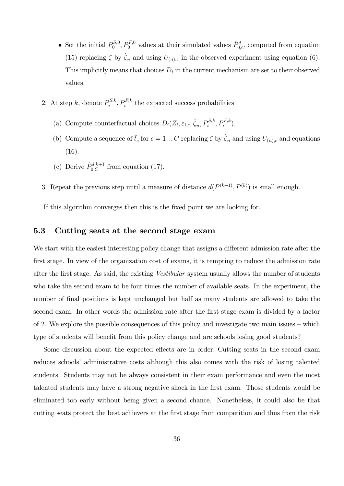- Set the initial  $P_0^{S,0}$  $p_0^{S,0}, P_0^{F,0}$  values at their simulated values  $\hat{P}^d_{0,C}$  computed from equation (15) replacing  $\zeta$  by  $\hat{\zeta}_n$  and using  $U_{(n),c}$  in the observed experiment using equation (6). This implicitly means that choices  $D_i$  in the current mechanism are set to their observed values.
- 2. At step k, denote  $P_i^{S,k}$  $i^{S,k}, P_i^{F,k}$  the expected success probabilities
	- (a) Compute counterfactual choices  $D_i(Z_i, \varepsilon_{i,c}, \hat{\zeta}_n, P_i^{S,k}, P_i^{F,k}).$
	- (b) Compute a sequence of  $\tilde{t}_c$  for  $c = 1, ., C$  replacing  $\zeta$  by  $\hat{\zeta}_n$  and using  $U_{(n),c}$  and equations (16).
	- (c) Derive  $\hat{P}_{0,C}^{d,k+1}$  from equation (17).
- 3. Repeat the previous step until a measure of distance  $d(P^{(k+1)}, P^{(k)})$  is small enough.

If this algorithm converges then this is the Öxed point we are looking for.

# 5.3 Cutting seats at the second stage exam

We start with the easiest interesting policy change that assigns a different admission rate after the first stage. In view of the organization cost of exams, it is tempting to reduce the admission rate after the first stage. As said, the existing *Vestibular* system usually allows the number of students who take the second exam to be four times the number of available seats. In the experiment, the number of final positions is kept unchanged but half as many students are allowed to take the second exam. In other words the admission rate after the first stage exam is divided by a factor of 2. We explore the possible consequences of this policy and investigate two main issues  $-\text{which}$ type of students will benefit from this policy change and are schools losing good students?

Some discussion about the expected effects are in order. Cutting seats in the second exam reduces schools' administrative costs although this also comes with the risk of losing talented students. Students may not be always consistent in their exam performance and even the most talented students may have a strong negative shock in the Örst exam. Those students would be eliminated too early without being given a second chance. Nonetheless, it could also be that cutting seats protect the best achievers at the Örst stage from competition and thus from the risk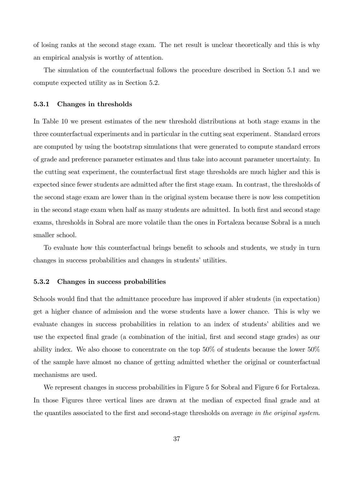of losing ranks at the second stage exam. The net result is unclear theoretically and this is why an empirical analysis is worthy of attention.

The simulation of the counterfactual follows the procedure described in Section 5.1 and we compute expected utility as in Section 5.2.

### 5.3.1 Changes in thresholds

In Table 10 we present estimates of the new threshold distributions at both stage exams in the three counterfactual experiments and in particular in the cutting seat experiment. Standard errors are computed by using the bootstrap simulations that were generated to compute standard errors of grade and preference parameter estimates and thus take into account parameter uncertainty. In the cutting seat experiment, the counterfactual first stage thresholds are much higher and this is expected since fewer students are admitted after the Örst stage exam. In contrast, the thresholds of the second stage exam are lower than in the original system because there is now less competition in the second stage exam when half as many students are admitted. In both first and second stage exams, thresholds in Sobral are more volatile than the ones in Fortaleza because Sobral is a much smaller school.

To evaluate how this counterfactual brings benefit to schools and students, we study in turn changes in success probabilities and changes in students' utilities.

#### 5.3.2 Changes in success probabilities

Schools would find that the admittance procedure has improved if abler students (in expectation) get a higher chance of admission and the worse students have a lower chance. This is why we evaluate changes in success probabilities in relation to an index of students' abilities and we use the expected final grade (a combination of the initial, first and second stage grades) as our ability index. We also choose to concentrate on the top 50% of students because the lower 50% of the sample have almost no chance of getting admitted whether the original or counterfactual mechanisms are used.

We represent changes in success probabilities in Figure 5 for Sobral and Figure 6 for Fortaleza. In those Figures three vertical lines are drawn at the median of expected final grade and at the quantiles associated to the first and second-stage thresholds on average in the original system.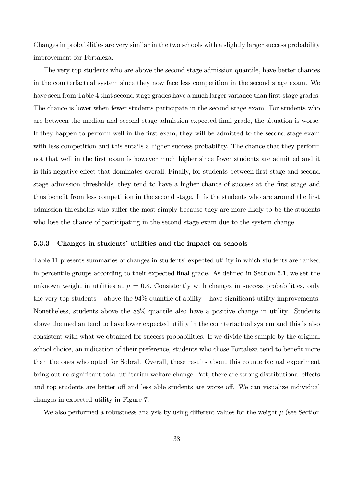Changes in probabilities are very similar in the two schools with a slightly larger success probability improvement for Fortaleza.

The very top students who are above the second stage admission quantile, have better chances in the counterfactual system since they now face less competition in the second stage exam. We have seen from Table 4 that second stage grades have a much larger variance than first-stage grades. The chance is lower when fewer students participate in the second stage exam. For students who are between the median and second stage admission expected final grade, the situation is worse. If they happen to perform well in the first exam, they will be admitted to the second stage exam with less competition and this entails a higher success probability. The chance that they perform not that well in the first exam is however much higher since fewer students are admitted and it is this negative effect that dominates overall. Finally, for students between first stage and second stage admission thresholds, they tend to have a higher chance of success at the first stage and thus benefit from less competition in the second stage. It is the students who are around the first admission thresholds who suffer the most simply because they are more likely to be the students who lose the chance of participating in the second stage exam due to the system change.

### 5.3.3 Changes in students' utilities and the impact on schools

Table 11 presents summaries of changes in students' expected utility in which students are ranked in percentile groups according to their expected final grade. As defined in Section 5.1, we set the unknown weight in utilities at  $\mu = 0.8$ . Consistently with changes in success probabilities, only the very top students – above the  $94\%$  quantile of ability – have significant utility improvements. Nonetheless, students above the 88% quantile also have a positive change in utility. Students above the median tend to have lower expected utility in the counterfactual system and this is also consistent with what we obtained for success probabilities. If we divide the sample by the original school choice, an indication of their preference, students who chose Fortaleza tend to benefit more than the ones who opted for Sobral. Overall, these results about this counterfactual experiment bring out no significant total utilitarian welfare change. Yet, there are strong distributional effects and top students are better off and less able students are worse off. We can visualize individual changes in expected utility in Figure 7.

We also performed a robustness analysis by using different values for the weight  $\mu$  (see Section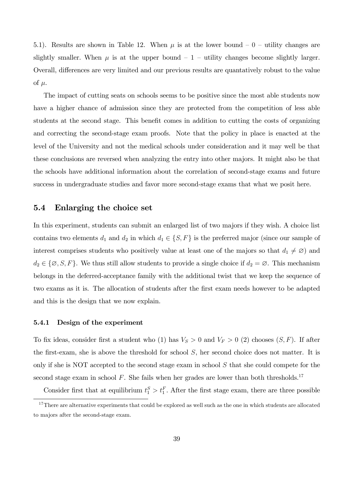5.1). Results are shown in Table 12. When  $\mu$  is at the lower bound  $-0$  – utility changes are slightly smaller. When  $\mu$  is at the upper bound  $-1$  - utility changes become slightly larger. Overall, differences are very limited and our previous results are quantatively robust to the value of  $\mu$ .

The impact of cutting seats on schools seems to be positive since the most able students now have a higher chance of admission since they are protected from the competition of less able students at the second stage. This benefit comes in addition to cutting the costs of organizing and correcting the second-stage exam proofs. Note that the policy in place is enacted at the level of the University and not the medical schools under consideration and it may well be that these conclusions are reversed when analyzing the entry into other majors. It might also be that the schools have additional information about the correlation of second-stage exams and future success in undergraduate studies and favor more second-stage exams that what we posit here.

### 5.4 Enlarging the choice set

In this experiment, students can submit an enlarged list of two majors if they wish. A choice list contains two elements  $d_1$  and  $d_2$  in which  $d_1 \in \{S, F\}$  is the preferred major (since our sample of interest comprises students who positively value at least one of the majors so that  $d_1 \neq \emptyset$  and  $d_2 \in \{ \emptyset, S, F \}$ . We thus still allow students to provide a single choice if  $d_2 = \emptyset$ . This mechanism belongs in the deferred-acceptance family with the additional twist that we keep the sequence of two exams as it is. The allocation of students after the first exam needs however to be adapted and this is the design that we now explain.

#### 5.4.1 Design of the experiment

To fix ideas, consider first a student who (1) has  $V_S > 0$  and  $V_F > 0$  (2) chooses  $(S, F)$ . If after the first-exam, she is above the threshold for school  $S$ , her second choice does not matter. It is only if she is NOT accepted to the second stage exam in school S that she could compete for the second stage exam in school  $F$ . She fails when her grades are lower than both thresholds.<sup>17</sup>

Consider first that at equilibrium  $t_1^S > t_1^F$ . After the first stage exam, there are three possible

 $17$ There are alternative experiments that could be explored as well such as the one in which students are allocated to majors after the second-stage exam.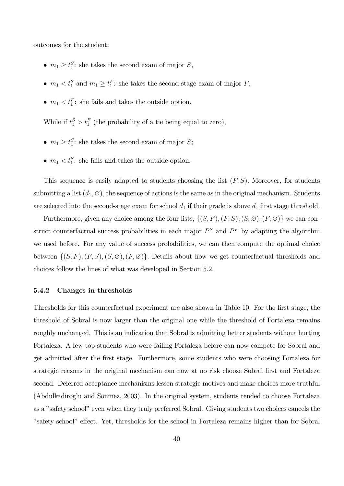outcomes for the student:

- $m_1 \ge t_1^S$ : she takes the second exam of major  $S$ ,
- $m_1 < t_1^S$  and  $m_1 \ge t_1^F$ : she takes the second stage exam of major  $F$ ,
- $m_1 < t_1^F$ : she fails and takes the outside option.

While if  $t_1^S > t_1^F$  (the probability of a tie being equal to zero),

- $m_1 \ge t_1^S$ : she takes the second exam of major *S*;
- $m_1 < t_1^S$ : she fails and takes the outside option.

This sequence is easily adapted to students choosing the list  $(F, S)$ . Moreover, for students submitting a list  $(d_1, \emptyset)$ , the sequence of actions is the same as in the original mechanism. Students are selected into the second-stage exam for school  $d_1$  if their grade is above  $d_1$  first stage threshold.

Furthermore, given any choice among the four lists,  $\{(S, F), (F, S), (S, \emptyset), (F, \emptyset)\}\$ we can construct counterfactual success probabilities in each major  $P^S$  and  $P^F$  by adapting the algorithm we used before. For any value of success probabilities, we can then compute the optimal choice between  $\{(S, F), (F, S), (S, \emptyset), (F, \emptyset)\}.$  Details about how we get counterfactual thresholds and choices follow the lines of what was developed in Section 5.2.

#### 5.4.2 Changes in thresholds

Thresholds for this counterfactual experiment are also shown in Table 10. For the first stage, the threshold of Sobral is now larger than the original one while the threshold of Fortaleza remains roughly unchanged. This is an indication that Sobral is admitting better students without hurting Fortaleza. A few top students who were failing Fortaleza before can now compete for Sobral and get admitted after the Örst stage. Furthermore, some students who were choosing Fortaleza for strategic reasons in the original mechanism can now at no risk choose Sobral first and Fortaleza second. Deferred acceptance mechanisms lessen strategic motives and make choices more truthful (Abdulkadiroglu and Sonmez, 2003). In the original system, students tended to choose Fortaleza as a "safety school" even when they truly preferred Sobral. Giving students two choices cancels the "safety school" effect. Yet, thresholds for the school in Fortaleza remains higher than for Sobral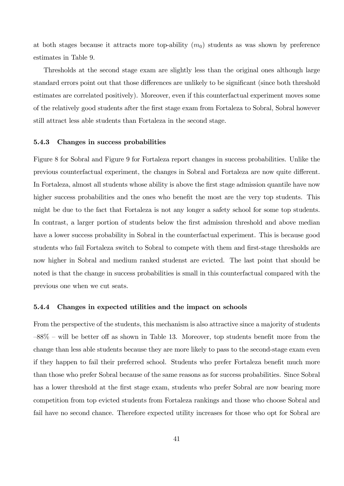at both stages because it attracts more top-ability  $(m_0)$  students as was shown by preference estimates in Table 9.

Thresholds at the second stage exam are slightly less than the original ones although large standard errors point out that those differences are unlikely to be significant (since both threshold estimates are correlated positively). Moreover, even if this counterfactual experiment moves some of the relatively good students after the Örst stage exam from Fortaleza to Sobral, Sobral however still attract less able students than Fortaleza in the second stage.

#### 5.4.3 Changes in success probabilities

Figure 8 for Sobral and Figure 9 for Fortaleza report changes in success probabilities. Unlike the previous counterfactual experiment, the changes in Sobral and Fortaleza are now quite different. In Fortaleza, almost all students whose ability is above the first stage admission quantile have now higher success probabilities and the ones who benefit the most are the very top students. This might be due to the fact that Fortaleza is not any longer a safety school for some top students. In contrast, a larger portion of students below the first admission threshold and above median have a lower success probability in Sobral in the counterfactual experiment. This is because good students who fail Fortaleza switch to Sobral to compete with them and first-stage thresholds are now higher in Sobral and medium ranked studenst are evicted. The last point that should be noted is that the change in success probabilities is small in this counterfactual compared with the previous one when we cut seats.

#### 5.4.4 Changes in expected utilities and the impact on schools

From the perspective of the students, this mechanism is also attractive since a majority of students  $-88\%$  – will be better off as shown in Table 13. Moreover, top students benefit more from the change than less able students because they are more likely to pass to the second-stage exam even if they happen to fail their preferred school. Students who prefer Fortaleza benefit much more than those who prefer Sobral because of the same reasons as for success probabilities. Since Sobral has a lower threshold at the first stage exam, students who prefer Sobral are now bearing more competition from top evicted students from Fortaleza rankings and those who choose Sobral and fail have no second chance. Therefore expected utility increases for those who opt for Sobral are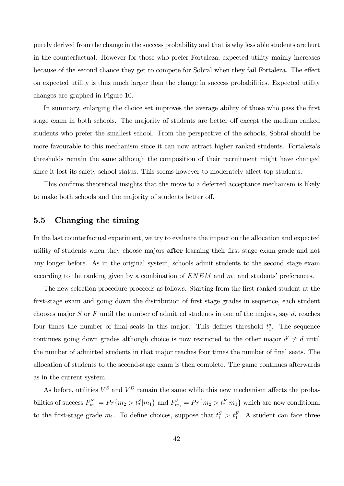purely derived from the change in the success probability and that is why less able students are hurt in the counterfactual. However for those who prefer Fortaleza, expected utility mainly increases because of the second chance they get to compete for Sobral when they fail Fortaleza. The effect on expected utility is thus much larger than the change in success probabilities. Expected utility changes are graphed in Figure 10.

In summary, enlarging the choice set improves the average ability of those who pass the first stage exam in both schools. The majority of students are better off except the medium ranked students who prefer the smallest school. From the perspective of the schools, Sobral should be more favourable to this mechanism since it can now attract higher ranked students. Fortalezaís thresholds remain the same although the composition of their recruitment might have changed since it lost its safety school status. This seems however to moderately affect top students.

This confirms theoretical insights that the move to a deferred acceptance mechanism is likely to make both schools and the majority of students better off.

## 5.5 Changing the timing

In the last counterfactual experiment, we try to evaluate the impact on the allocation and expected utility of students when they choose majors **after** learning their first stage exam grade and not any longer before. As in the original system, schools admit students to the second stage exam according to the ranking given by a combination of  $ENEM$  and  $m_1$  and students' preferences.

The new selection procedure proceeds as follows. Starting from the first-ranked student at the first-stage exam and going down the distribution of first stage grades in sequence, each student chooses major  $S$  or  $F$  until the number of admitted students in one of the majors, say  $d$ , reaches four times the number of final seats in this major. This defines threshold  $t_1^d$ . The sequence continues going down grades although choice is now restricted to the other major  $d' \neq d$  until the number of admitted students in that major reaches four times the number of final seats. The allocation of students to the second-stage exam is then complete. The game continues afterwards as in the current system.

As before, utilities  $V^S$  and  $V^D$  remain the same while this new mechanism affects the probabilities of success  $P_{m_1}^S = Pr\{m_2 > t_2^S|m_1\}$  and  $P_{m_1}^F = Pr\{m_2 > t_2^F|m_1\}$  which are now conditional to the first-stage grade  $m_1$ . To define choices, suppose that  $t_1^S > t_1^F$ . A student can face three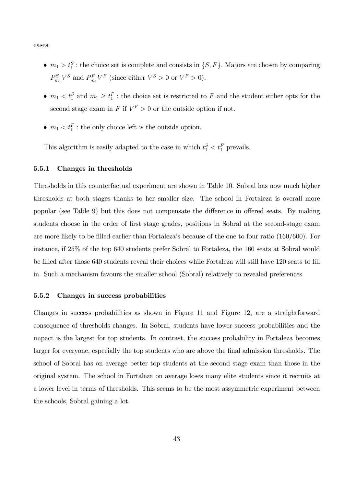cases:

- $m_1 > t_1^S$ : the choice set is complete and consists in  $\{S, F\}$ . Majors are chosen by comparing  $P_{m_1}^S V^S$  and  $P_{m_1}^F V^F$  (since either  $V^S > 0$  or  $V^F > 0$ ).
- $m_1 < t_1^S$  and  $m_1 \geq t_1^F$ : the choice set is restricted to F and the student either opts for the second stage exam in  $F$  if  $V^F > 0$  or the outside option if not.
- $m_1 < t_1^F$ : the only choice left is the outside option.

This algorithm is easily adapted to the case in which  $t_1^S < t_1^F$  prevails.

#### 5.5.1 Changes in thresholds

Thresholds in this counterfactual experiment are shown in Table 10. Sobral has now much higher thresholds at both stages thanks to her smaller size. The school in Fortaleza is overall more popular (see Table 9) but this does not compensate the difference in offered seats. By making students choose in the order of first stage grades, positions in Sobral at the second-stage exam are more likely to be filled earlier than Fortaleza's because of the one to four ratio (160/600). For instance, if 25% of the top 640 students prefer Sobral to Fortaleza, the 160 seats at Sobral would be filled after those 640 students reveal their choices while Fortaleza will still have 120 seats to fill in. Such a mechanism favours the smaller school (Sobral) relatively to revealed preferences.

### 5.5.2 Changes in success probabilities

Changes in success probabilities as shown in Figure 11 and Figure 12, are a straightforward consequence of thresholds changes. In Sobral, students have lower success probabilities and the impact is the largest for top students. In contrast, the success probability in Fortaleza becomes larger for everyone, especially the top students who are above the final admission thresholds. The school of Sobral has on average better top students at the second stage exam than those in the original system. The school in Fortaleza on average loses many elite students since it recruits at a lower level in terms of thresholds. This seems to be the most assymmetric experiment between the schools, Sobral gaining a lot.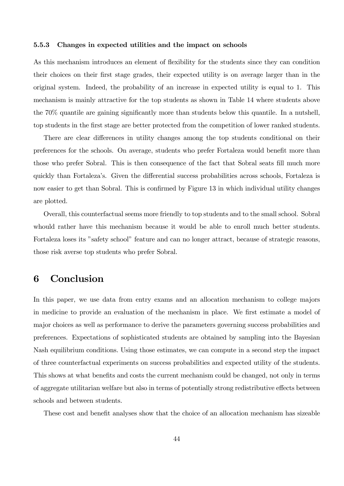#### 5.5.3 Changes in expected utilities and the impact on schools

As this mechanism introduces an element of flexibility for the students since they can condition their choices on their Örst stage grades, their expected utility is on average larger than in the original system. Indeed, the probability of an increase in expected utility is equal to 1. This mechanism is mainly attractive for the top students as shown in Table 14 where students above the  $70\%$  quantile are gaining significantly more than students below this quantile. In a nutshell, top students in the Örst stage are better protected from the competition of lower ranked students.

There are clear differences in utility changes among the top students conditional on their preferences for the schools. On average, students who prefer Fortaleza would benefit more than those who prefer Sobral. This is then consequence of the fact that Sobral seats fill much more quickly than Fortaleza's. Given the differential success probabilities across schools, Fortaleza is now easier to get than Sobral. This is confirmed by Figure 13 in which individual utility changes are plotted.

Overall, this counterfactual seems more friendly to top students and to the small school. Sobral whould rather have this mechanism because it would be able to enroll much better students. Fortaleza loses its "safety school" feature and can no longer attract, because of strategic reasons, those risk averse top students who prefer Sobral.

# 6 Conclusion

In this paper, we use data from entry exams and an allocation mechanism to college majors in medicine to provide an evaluation of the mechanism in place. We first estimate a model of major choices as well as performance to derive the parameters governing success probabilities and preferences. Expectations of sophisticated students are obtained by sampling into the Bayesian Nash equilibrium conditions. Using those estimates, we can compute in a second step the impact of three counterfactual experiments on success probabilities and expected utility of the students. This shows at what benefits and costs the current mechanism could be changed, not only in terms of aggregate utilitarian welfare but also in terms of potentially strong redistributive effects between schools and between students.

These cost and benefit analyses show that the choice of an allocation mechanism has sizeable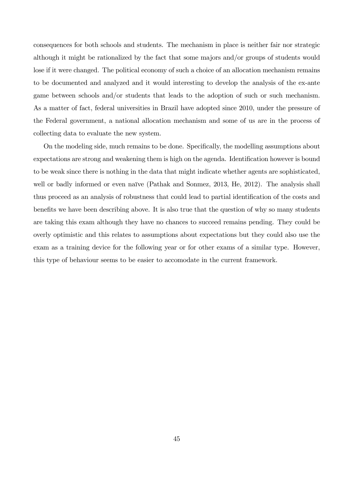consequences for both schools and students. The mechanism in place is neither fair nor strategic although it might be rationalized by the fact that some majors and/or groups of students would lose if it were changed. The political economy of such a choice of an allocation mechanism remains to be documented and analyzed and it would interesting to develop the analysis of the ex-ante game between schools and/or students that leads to the adoption of such or such mechanism. As a matter of fact, federal universities in Brazil have adopted since 2010, under the pressure of the Federal government, a national allocation mechanism and some of us are in the process of collecting data to evaluate the new system.

On the modeling side, much remains to be done. Specifically, the modelling assumptions about expectations are strong and weakening them is high on the agenda. Identification however is bound to be weak since there is nothing in the data that might indicate whether agents are sophisticated, well or badly informed or even naïve (Pathak and Sonmez,  $2013$ , He,  $2012$ ). The analysis shall thus proceed as an analysis of robustness that could lead to partial identification of the costs and benefits we have been describing above. It is also true that the question of why so many students are taking this exam although they have no chances to succeed remains pending. They could be overly optimistic and this relates to assumptions about expectations but they could also use the exam as a training device for the following year or for other exams of a similar type. However, this type of behaviour seems to be easier to accomodate in the current framework.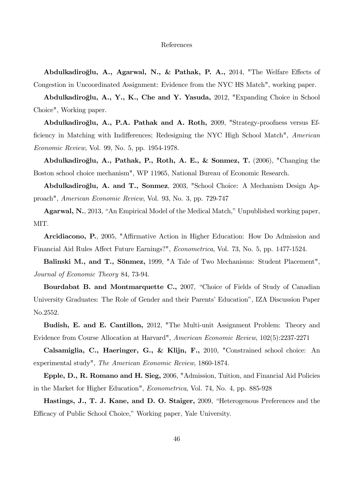#### References

Abdulkadiroğlu, A., Agarwal, N., & Pathak, P. A., 2014, "The Welfare Effects of Congestion in Uncoordinated Assignment: Evidence from the NYC HS Match", working paper.

Abdulkadiroğlu, A., Y., K., Che and Y. Yasuda, 2012, "Expanding Choice in School Choice", Working paper.

Abdulkadiroğlu, A., P.A. Pathak and A. Roth, 2009, "Strategy-proofness versus Efficiency in Matching with Indifferences; Redesigning the NYC High School Match", American Economic Review, Vol. 99, No. 5, pp. 1954-1978.

Abdulkadiroğlu, A., Pathak, P., Roth, A. E., & Sonmez, T. (2006), "Changing the Boston school choice mechanism", WP 11965, National Bureau of Economic Research.

Abdulkadiroğlu, A. and T., Sonmez, 2003, "School Choice: A Mechanism Design Approach", American Economic Review, Vol. 93, No. 3, pp. 729-747

**Agarwal, N.**, 2013, "An Empirical Model of the Medical Match," Unpublished working paper, MIT.

Arcidiacono, P., 2005, "Affirmative Action in Higher Education: How Do Admission and Financial Aid Rules Affect Future Earnings?", *Econometrica*, Vol. 73, No. 5, pp. 1477-1524.

Balinski M., and T., Sönmez, 1999, "A Tale of Two Mechanisms: Student Placement", Journal of Economic Theory 84, 73-94.

Bourdabat B. and Montmarquette C., 2007, "Choice of Fields of Study of Canadian University Graduates: The Role of Gender and their Parents' Education", IZA Discussion Paper No.2552.

Budish, E. and E. Cantillon, 2012, "The Multi-unit Assignment Problem: Theory and Evidence from Course Allocation at Harvard", American Economic Review, 102(5):2237-2271

Calsamiglia, C., Haeringer, G., & Klijn, F., 2010, "Constrained school choice: An experimental study", The American Economic Review, 1860-1874.

Epple, D., R. Romano and H. Sieg, 2006, "Admission, Tuition, and Financial Aid Policies in the Market for Higher Education", Econometrica, Vol. 74, No. 4, pp. 885-928

Hastings, J., T. J. Kane, and D. O. Staiger, 2009, "Heterogenous Preferences and the Efficacy of Public School Choice," Working paper, Yale University.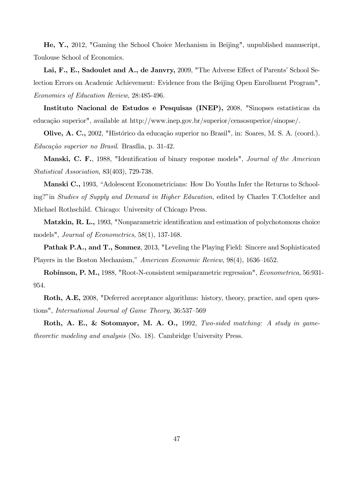He, Y., 2012, "Gaming the School Choice Mechanism in Beijing", unpublished manuscript, Toulouse School of Economics.

Lai, F., E., Sadoulet and A., de Janvry, 2009, "The Adverse Effect of Parents' School Selection Errors on Academic Achievement: Evidence from the Beijing Open Enrollment Program", Economics of Education Review, 28:485-496.

Instituto Nacional de Estudos e Pesquisas (INEP), 2008, "Sinopses estatísticas da educação superior", available at http://www.inep.gov.br/superior/censosuperior/sinopse/.

Olive, A. C., 2002, "Histórico da educação superior no Brasil", in: Soares, M. S. A. (coord.).  $Educação superior no Brasil. Brasilia, p. 31-42.$ 

Manski, C. F., 1988, "Identification of binary response models", *Journal of the American* Statistical Association, 83(403), 729-738.

Manski C., 1993, "Adolescent Econometricians: How Do Youths Infer the Returns to Schooling?" in Studies of Supply and Demand in Higher Education, edited by Charles T.Clotfelter and Michael Rothschild. Chicago: University of Chicago Press.

Matzkin, R. L., 1993, "Nonparametric identification and estimation of polychotomous choice models", *Journal of Econometrics*, 58(1), 137-168.

Pathak P.A., and T., Sonmez, 2013, "Leveling the Playing Field: Sincere and Sophisticated Players in the Boston Mechanism," American Economic Review,  $98(4)$ , 1636–1652.

Robinson, P. M., 1988, "Root-N-consistent semiparametric regression", Econometrica, 56:931- 954.

Roth, A.E, 2008, "Deferred acceptance algorithms: history, theory, practice, and open questions", International Journal of Game Theory, 36:537–569

Roth, A. E., & Sotomayor, M. A. O., 1992, Two-sided matching: A study in gametheoretic modeling and analysis (No. 18). Cambridge University Press.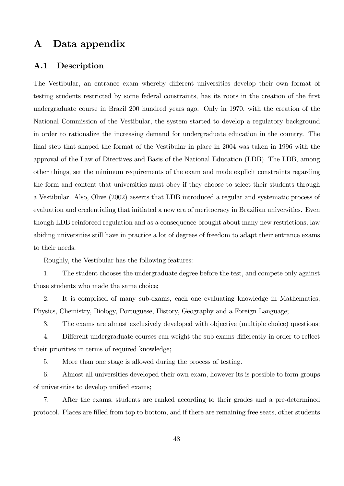# A Data appendix

## A.1 Description

The Vestibular, an entrance exam whereby different universities develop their own format of testing students restricted by some federal constraints, has its roots in the creation of the first undergraduate course in Brazil 200 hundred years ago. Only in 1970, with the creation of the National Commission of the Vestibular, the system started to develop a regulatory background in order to rationalize the increasing demand for undergraduate education in the country. The final step that shaped the format of the Vestibular in place in 2004 was taken in 1996 with the approval of the Law of Directives and Basis of the National Education (LDB). The LDB, among other things, set the minimum requirements of the exam and made explicit constraints regarding the form and content that universities must obey if they choose to select their students through a Vestibular. Also, Olive (2002) asserts that LDB introduced a regular and systematic process of evaluation and credentialing that initiated a new era of meritocracy in Brazilian universities. Even though LDB reinforced regulation and as a consequence brought about many new restrictions, law abiding universities still have in practice a lot of degrees of freedom to adapt their entrance exams to their needs.

Roughly, the Vestibular has the following features:

1. The student chooses the undergraduate degree before the test, and compete only against those students who made the same choice;

2. It is comprised of many sub-exams, each one evaluating knowledge in Mathematics, Physics, Chemistry, Biology, Portuguese, History, Geography and a Foreign Language;

3. The exams are almost exclusively developed with objective (multiple choice) questions;

4. Different undergraduate courses can weight the sub-exams differently in order to reflect their priorities in terms of required knowledge;

5. More than one stage is allowed during the process of testing.

6. Almost all universities developed their own exam, however its is possible to form groups of universities to develop unified exams;

7. After the exams, students are ranked according to their grades and a pre-determined protocol. Places are Ölled from top to bottom, and if there are remaining free seats, other students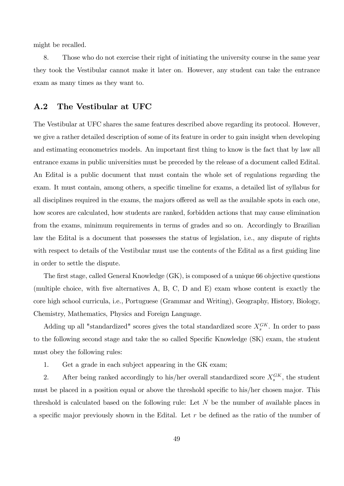might be recalled.

8. Those who do not exercise their right of initiating the university course in the same year they took the Vestibular cannot make it later on. However, any student can take the entrance exam as many times as they want to.

### A.2 The Vestibular at UFC

The Vestibular at UFC shares the same features described above regarding its protocol. However, we give a rather detailed description of some of its feature in order to gain insight when developing and estimating econometrics models. An important first thing to know is the fact that by law all entrance exams in public universities must be preceded by the release of a document called Edital. An Edital is a public document that must contain the whole set of regulations regarding the exam. It must contain, among others, a specific timeline for exams, a detailed list of syllabus for all disciplines required in the exams, the majors offered as well as the available spots in each one, how scores are calculated, how students are ranked, forbidden actions that may cause elimination from the exams, minimum requirements in terms of grades and so on. Accordingly to Brazilian law the Edital is a document that possesses the status of legislation, i.e., any dispute of rights with respect to details of the Vestibular must use the contents of the Edital as a first guiding line in order to settle the dispute.

The first stage, called General Knowledge (GK), is composed of a unique 66 objective questions (multiple choice, with five alternatives  $A$ ,  $B$ ,  $C$ ,  $D$  and  $E$ ) exam whose content is exactly the core high school curricula, i.e., Portuguese (Grammar and Writing), Geography, History, Biology, Chemistry, Mathematics, Physics and Foreign Language.

Adding up all "standardized" scores gives the total standardized score  $X_s^{G_K}$ . In order to pass to the following second stage and take the so called Specific Knowledge (SK) exam, the student must obey the following rules:

1. Get a grade in each subject appearing in the GK exam;

2. After being ranked accordingly to his/her overall standardized score  $X_s^{GK}$ , the student must be placed in a position equal or above the threshold specific to his/her chosen major. This threshold is calculated based on the following rule: Let N be the number of available places in a specific major previously shown in the Edital. Let  $r$  be defined as the ratio of the number of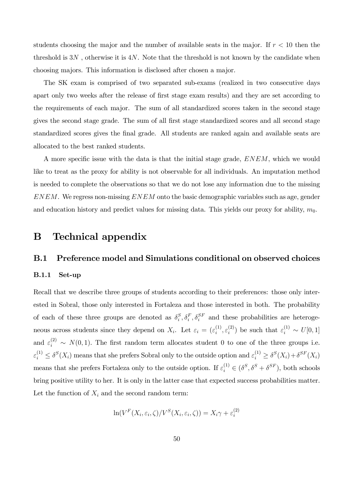students choosing the major and the number of available seats in the major. If  $r < 10$  then the threshold is  $3N$ , otherwise it is  $4N$ . Note that the threshold is not known by the candidate when choosing majors. This information is disclosed after chosen a major.

The SK exam is comprised of two separated sub-exams (realized in two consecutive days apart only two weeks after the release of first stage exam results) and they are set according to the requirements of each major. The sum of all standardized scores taken in the second stage gives the second stage grade. The sum of all first stage standardized scores and all second stage standardized scores gives the final grade. All students are ranked again and available seats are allocated to the best ranked students.

A more specific issue with the data is that the initial stage grade,  $ENEM$ , which we would like to treat as the proxy for ability is not observable for all individuals. An imputation method is needed to complete the observations so that we do not lose any information due to the missing  $ENEM$ . We regress non-missing  $ENEM$  onto the basic demographic variables such as age, gender and education history and predict values for missing data. This yields our proxy for ability,  $m_0$ .

# B Technical appendix

### B.1 Preference model and Simulations conditional on observed choices

### B.1.1 Set-up

Recall that we describe three groups of students according to their preferences: those only interested in Sobral, those only interested in Fortaleza and those interested in both. The probability of each of these three groups are denoted as  $\delta_i^S$  $i<sub>i</sub>$ ,  $\delta_i<sub>i</sub>$ ,  $\delta_i<sub>i</sub>$ <sup>F</sup> and these probabilities are heterogeneous across students since they depend on  $X_i$ . Let  $\varepsilon_i = (\varepsilon_i^{(1)})$  $\mathcal{E}_i^{(1)}, \mathcal{E}_i^{(2)}$  $\epsilon_i^{(2)}$ ) be such that  $\varepsilon_i^{(1)} \sim U[0,1]$ and  $\varepsilon_i^{(2)} \sim N(0, 1)$ . The first random term allocates student 0 to one of the three groups i.e.  $\varepsilon_i^{(1)} \leq \delta^S(X_i)$  means that she prefers Sobral only to the outside option and  $\varepsilon_i^{(1)} \geq \delta^S(X_i) + \delta^{SF}(X_i)$ means that she prefers Fortaleza only to the outside option. If  $\varepsilon_i^{(1)} \in (\delta^S, \delta^S + \delta^{SF})$ , both schools bring positive utility to her. It is only in the latter case that expected success probabilities matter. Let the function of  $X_i$  and the second random term:

$$
\ln(V^{F}(X_{i}, \varepsilon_{i}, \zeta)/V^{S}(X_{i}, \varepsilon_{i}, \zeta)) = X_{i}\gamma + \varepsilon_{i}^{(2)}
$$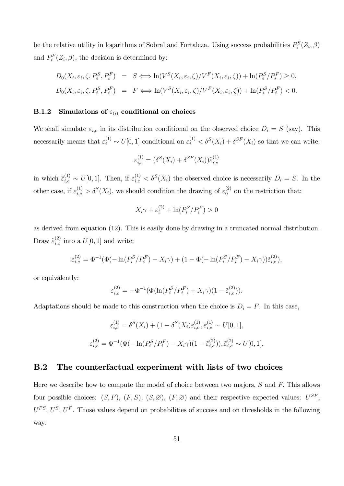be the relative utility in logarithms of Sobral and Fortaleza. Using success probabilities  $P_i^S(Z_i, \beta)$ and  $P_i^F(Z_i, \beta)$ , the decision is determined by:

$$
D_0(X_i, \varepsilon_i, \zeta, P_i^S, P_i^F) = S \Longleftrightarrow \ln(V^S(X_i, \varepsilon_i, \zeta)/V^F(X_i, \varepsilon_i, \zeta)) + \ln(P_i^S/P_i^F) \ge 0,
$$
  

$$
D_0(X_i, \varepsilon_i, \zeta, P_i^S, P_i^F) = F \Longleftrightarrow \ln(V^S(X_i, \varepsilon_i, \zeta)/V^F(X_i, \varepsilon_i, \zeta)) + \ln(P_i^S/P_i^F) < 0.
$$

# B.1.2 Simulations of  $\varepsilon_{(i)}$  conditional on choices

We shall simulate  $\varepsilon_{i,c}$  in its distribution conditional on the observed choice  $D_i = S$  (say). This necessarily means that  $\varepsilon_i^{(1)} \sim U[0,1]$  conditional on  $\varepsilon_i^{(1)} < \delta^S(X_i) + \delta^{SF}(X_i)$  so that we can write:

$$
\varepsilon_{i,c}^{(1)} = (\delta^S(X_i) + \delta^{SF}(X_i))\tilde{\varepsilon}_{i,c}^{(1)}
$$

in which  $\tilde{\varepsilon}_{i,c}^{(1)} \sim U[0,1]$ . Then, if  $\varepsilon_{i,c}^{(1)} < \delta^S(X_i)$  the observed choice is necessarily  $D_i = S$ . In the other case, if  $\varepsilon_{i,c}^{(1)} > \delta^S(X_i)$ , we should condition the drawing of  $\varepsilon_0^{(2)}$  on the restriction that:

$$
X_i\gamma + \varepsilon_i^{(2)} + \ln(P_i^S/P_i^F) > 0
$$

as derived from equation (12). This is easily done by drawing in a truncated normal distribution. Draw  $\tilde{\varepsilon}^{(2)}_{i,c}$  into a  $U[0,1]$  and write:

$$
\varepsilon_{i,c}^{(2)} = \Phi^{-1}(\Phi(-\ln(P_i^S/P_i^F) - X_i\gamma) + (1 - \Phi(-\ln(P_i^S/P_i^F) - X_i\gamma))\tilde{\varepsilon}_{i,c}^{(2)}),
$$

or equivalently:

$$
\varepsilon_{i,c}^{(2)} = -\Phi^{-1}(\Phi(\ln(P_i^S/P_i^F) + X_i\gamma)(1 - \tilde{\varepsilon}_{i,c}^{(2)})).
$$

Adaptations should be made to this construction when the choice is  $D_i = F$ . In this case,

$$
\varepsilon_{i,c}^{(1)} = \delta^S(X_i) + (1 - \delta^S(X_i)\tilde{\varepsilon}_{i,c}^{(1)}, \tilde{\varepsilon}_{i,c}^{(1)} \sim U[0, 1],
$$
  

$$
\varepsilon_{i,c}^{(2)} = \Phi^{-1}(\Phi(-\ln(P_i^S/P_i^F) - X_i\gamma)(1 - \tilde{\varepsilon}_{i,c}^{(2)})), \tilde{\varepsilon}_{i,c}^{(2)} \sim U[0, 1].
$$

### B.2 The counterfactual experiment with lists of two choices

Here we describe how to compute the model of choice between two majors,  $S$  and  $F$ . This allows four possible choices:  $(S, F)$ ,  $(F, S)$ ,  $(S, \emptyset)$ ,  $(F, \emptyset)$  and their respective expected values:  $U^{SF}$ ,  $U^{FS}$ ,  $U^S$ ,  $U^F$ . Those values depend on probabilities of success and on thresholds in the following way.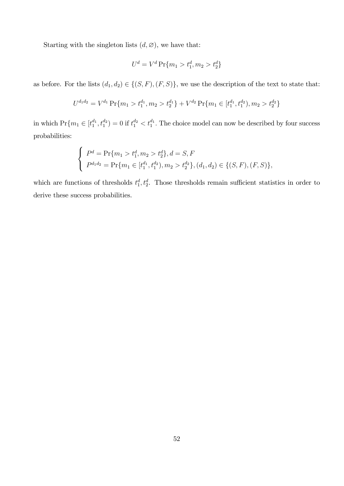Starting with the singleton lists  $(d, \emptyset)$ , we have that:

$$
U^d = V^d \Pr\{m_1 > t_1^d, m_2 > t_2^d\}
$$

as before. For the lists  $(d_1, d_2) \in \{(S, F), (F, S)\}\,$ , we use the description of the text to state that:

$$
U^{d_1d_2} = V^{d_1} \Pr\{m_1 > t_1^{d_1}, m_2 > t_2^{d_1}\} + V^{d_2} \Pr\{m_1 \in [t_1^{d_1}, t_1^{d_2}), m_2 > t_2^{d_2}\}
$$

in which  $Pr{m_1 \in [t_1^{d_1}, t_1^{d_2}) = 0 \text{ if } t_1^{d_2} < t_1^{d_1}}$ . The choice model can now be described by four success probabilities:

$$
\begin{cases}\nP^d = \Pr\{m_1 > t_1^d, m_2 > t_2^d\}, d = S, F \\
P^{d_1 d_2} = \Pr\{m_1 \in [t_1^{d_1}, t_1^{d_2}), m_2 > t_2^{d_2}\}, (d_1, d_2) \in \{(S, F), (F, S)\},\n\end{cases}
$$

which are functions of thresholds  $t_1^d, t_2^d$ . Those thresholds remain sufficient statistics in order to derive these success probabilities.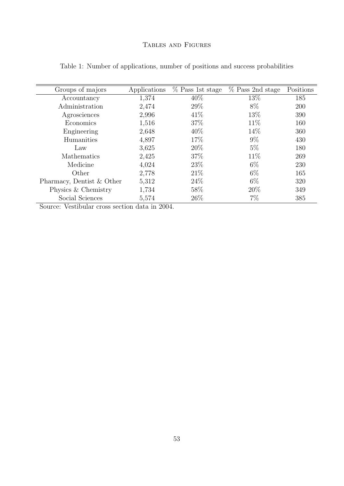## Tables and Figures

| Groups of majors          | Applications | % Pass 1st stage | % Pass 2nd stage | Positions |
|---------------------------|--------------|------------------|------------------|-----------|
| Accountancy               | 1,374        | 40\%             | 13%              | 185       |
| Administration            | 2,474        | 29%              | 8%               | 200       |
| Agrosciences              | 2,996        | 41\%             | 13%              | 390       |
| Economics                 | 1,516        | 37%              | 11\%             | 160       |
| Engineering               | 2,648        | 40%              | 14\%             | 360       |
| Humanities                | 4,897        | 17\%             | $9\%$            | 430       |
| Law                       | 3,625        | 20%              | $5\%$            | 180       |
| Mathematics               | 2,425        | 37\%             | 11\%             | 269       |
| Medicine                  | 4,024        | 23\%             | $6\%$            | 230       |
| Other                     | 2,778        | 21%              | $6\%$            | 165       |
| Pharmacy, Dentist & Other | 5,312        | 24%              | $6\%$            | 320       |
| Physics & Chemistry       | 1,734        | 58\%             | 20\%             | 349       |
| Social Sciences           | 5,574        | 26\%             | $7\%$            | 385       |

Table 1: Number of applications, number of positions and success probabilities

Source: Vestibular cross section data in 2004.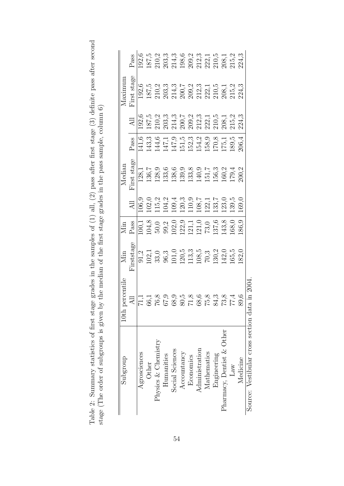| grades in the samples of $(1)$ all, $(2)$ pass after first stage $(3)$ definite pass after secon | the median of the first stage grades in the pass sample, column <b>b</b> |
|--------------------------------------------------------------------------------------------------|--------------------------------------------------------------------------|
|                                                                                                  |                                                                          |
|                                                                                                  |                                                                          |
|                                                                                                  |                                                                          |
|                                                                                                  |                                                                          |
|                                                                                                  |                                                                          |
|                                                                                                  |                                                                          |
|                                                                                                  |                                                                          |
|                                                                                                  |                                                                          |
|                                                                                                  |                                                                          |
|                                                                                                  |                                                                          |
|                                                                                                  |                                                                          |
|                                                                                                  |                                                                          |
|                                                                                                  |                                                                          |
|                                                                                                  |                                                                          |
|                                                                                                  |                                                                          |
|                                                                                                  |                                                                          |
| summary statistics of first stom as                                                              |                                                                          |
|                                                                                                  |                                                                          |
|                                                                                                  | ĺ                                                                        |
| Table 2: Summar                                                                                  | stage (The order of subgroups is given by the                            |
|                                                                                                  |                                                                          |

| Subgroup                              | $10th$ $p$           | Nin                                                                                                                                                                                                                                                                                                   | Min         |                                                                                                                                                                                                                                                                                                               | Median             |       |                             | Maximur     |       |
|---------------------------------------|----------------------|-------------------------------------------------------------------------------------------------------------------------------------------------------------------------------------------------------------------------------------------------------------------------------------------------------|-------------|---------------------------------------------------------------------------------------------------------------------------------------------------------------------------------------------------------------------------------------------------------------------------------------------------------------|--------------------|-------|-----------------------------|-------------|-------|
|                                       | $\Xi$                | irststage                                                                                                                                                                                                                                                                                             | $\rm{Pass}$ | $\Delta \Pi$                                                                                                                                                                                                                                                                                                  | First stage        | Pass  | $\mathop{\rm All}\nolimits$ | Tirst stage | Pass  |
| Agrosciences                          |                      |                                                                                                                                                                                                                                                                                                       |             | $\sqrt{0.9}$                                                                                                                                                                                                                                                                                                  | $\overline{128,1}$ | 141,6 |                             |             | 192,6 |
| Other                                 |                      |                                                                                                                                                                                                                                                                                                       |             |                                                                                                                                                                                                                                                                                                               |                    |       |                             |             |       |
| Physics & Chemistry                   | 71,1<br>36,3<br>37,9 |                                                                                                                                                                                                                                                                                                       |             |                                                                                                                                                                                                                                                                                                               |                    |       |                             |             |       |
| Humanities                            |                      |                                                                                                                                                                                                                                                                                                       |             |                                                                                                                                                                                                                                                                                                               |                    |       |                             |             |       |
| Social Sciences                       | $\ddot{8}$           |                                                                                                                                                                                                                                                                                                       |             |                                                                                                                                                                                                                                                                                                               |                    |       |                             |             |       |
| Accountancy                           |                      |                                                                                                                                                                                                                                                                                                       |             |                                                                                                                                                                                                                                                                                                               |                    |       |                             |             |       |
| Economics                             |                      |                                                                                                                                                                                                                                                                                                       |             |                                                                                                                                                                                                                                                                                                               |                    |       |                             |             |       |
| Administration                        | $71,8$<br>38,6       |                                                                                                                                                                                                                                                                                                       |             |                                                                                                                                                                                                                                                                                                               |                    |       |                             |             |       |
| Mathematics                           | $3^{5/2}$            |                                                                                                                                                                                                                                                                                                       |             |                                                                                                                                                                                                                                                                                                               |                    |       |                             |             |       |
| Engineering                           |                      |                                                                                                                                                                                                                                                                                                       |             |                                                                                                                                                                                                                                                                                                               |                    |       |                             |             |       |
| Pharmacy, Dentist & Other             |                      |                                                                                                                                                                                                                                                                                                       |             |                                                                                                                                                                                                                                                                                                               |                    |       |                             |             |       |
| Law                                   |                      |                                                                                                                                                                                                                                                                                                       |             |                                                                                                                                                                                                                                                                                                               |                    |       |                             |             |       |
| Medicine                              |                      | $\begin{array}{l} 91.2 \\ 102.1 \\ 103.0 \\ 33.0 \\ 96.9 \\ 111.1 \\ 201.1 \\ 112.0 \\ 108.5 \\ 70.2 \\ 111.1 \\ 103.1 \\ 111.1 \\ 112.0 \\ 113.2 \\ 113.2 \\ 114.3 \\ 115.2 \\ 118.2 \\ 118.2 \\ 129.1 \\ 139.2 \\ 140.2 \\ 153.2 \\ 163.2 \\ 183.2 \\ 183.2 \\ 183.2 \\ 183.2 \\ 183.2 \\ 183.2 \\$ |             | $\begin{array}{l} 02.0 \\ 11.5 \\ 12.0 \\ 13.1 \\ 14.0 \\ 15.0 \\ 16.0 \\ 17.0 \\ 18.0 \\ 19.0 \\ 10.0 \\ 11.0 \\ 12.0 \\ 13.0 \\ 14.0 \\ 15.0 \\ 16.0 \\ 17.0 \\ 19.0 \\ 10.0 \\ 10.0 \\ 11.0 \\ 10.0 \\ 10.0 \\ 10.0 \\ 10.0 \\ 10.0 \\ 10.0 \\ 10.0 \\ 10.0 \\ 10.0 \\ 10.0 \\ 10.0 \\ 10.0 \\ 10.0 \\ 10$ |                    |       |                             |             |       |
| Source: Vestibular cross section data | , in $2004$          |                                                                                                                                                                                                                                                                                                       |             |                                                                                                                                                                                                                                                                                                               |                    |       |                             |             |       |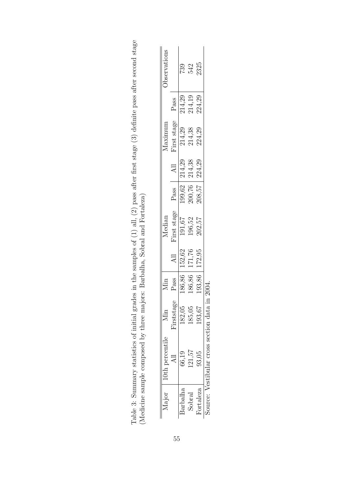|                                                                                                                                                               | 0th percentile                          |            |        |        | Median      |                            |        | <i>Aaximum</i>   |                  | <b>J</b> bservation |
|---------------------------------------------------------------------------------------------------------------------------------------------------------------|-----------------------------------------|------------|--------|--------|-------------|----------------------------|--------|------------------|------------------|---------------------|
|                                                                                                                                                               |                                         | Firststage | Pass   |        | First stage | Pass                       |        | First stage      | Pass             |                     |
| $\operatorname*{barballa}% \nolimits_{\Delta}\left( \mathcal{N}_{\Delta}\right) =\operatorname*{grad\,a}\nolimits_{\Delta}\left( \mathcal{N}_{\Delta}\right)$ | 66.19                                   | 182,05     | 186,86 | 152,62 | 191,67      |                            | 214,29 | 214,29           |                  | 739                 |
| ${\small{\rm Solrad}}$                                                                                                                                        | 121,57                                  | 185,05     | 186,86 | 171,76 | 196,52      | 199,62<br>200,76<br>208,57 | 214,38 | 214,38<br>224,29 | 214,29<br>214,19 | 542                 |
| Portaleza                                                                                                                                                     | 93,05                                   | 193,67     | 193,86 | 172,95 | 202,57      |                            | 224,29 |                  | 224,29           | 2325                |
|                                                                                                                                                               | ource: Vestibular cross section data in |            | 2004   |        |             |                            |        |                  |                  |                     |

| $\ldots$ ex of (1) all, (2) pass after first stage (3) definite pass after second stage                                                                                     |                                                     |
|-----------------------------------------------------------------------------------------------------------------------------------------------------------------------------|-----------------------------------------------------|
|                                                                                                                                                                             |                                                     |
| where $\frac{1}{2}$ and $\frac{1}{2}$ and $\frac{1}{2}$ and $\frac{1}{2}$ and $\frac{1}{2}$ and $\frac{1}{2}$ and $\frac{1}{2}$ and $\frac{1}{2}$<br>ed in the complex of 1 | re: Barballan Sabral and Dartalaza<br>$\frac{1}{2}$ |
| $\sim$ $\sim$ $\sim$ $\sim$ $\sim$<br> <br> <br> <br>ナく てくそもじもも<br>$\frac{1}{1}$                                                                                            | こくしくしょう くらい<br>:                                    |
| こ こうこくじょう                                                                                                                                                                   | j<br>i dia anis<br>i<br>Sepanjan                    |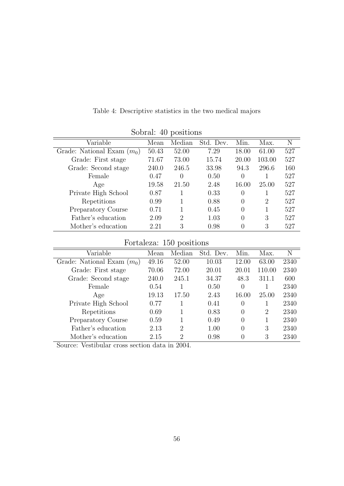|                              |       | Sobral: 40 positions        |           |       |        |     |
|------------------------------|-------|-----------------------------|-----------|-------|--------|-----|
| Variable                     | Mean  | Median                      | Std. Dev. | Min.  | Max.   | N   |
| Grade: National Exam $(m_0)$ | 50.43 | 52.00                       | 7.29      | 18.00 | 61.00  | 527 |
| Grade: First stage           | 71.67 | 73.00                       | 15.74     | 20.00 | 103.00 | 527 |
| Grade: Second stage          | 240.0 | 246.5                       | 33.98     | 94.3  | 296.6  | 160 |
| Female                       | 0.47  | 0                           | 0.50      | 0     |        | 527 |
| Age                          | 19.58 | 21.50                       | 2.48      | 16.00 | 25.00  | 527 |
| Private High School          | 0.87  |                             | 0.33      | 0     |        | 527 |
| Repetitions                  | 0.99  |                             | 0.88      | 0     | 2      | 527 |
| Preparatory Course           | 0.71  |                             | 0.45      | 0     |        | 527 |
| Father's education           | 2.09  | $\mathcal{D}_{\mathcal{L}}$ | 1.03      | 0     | 3      | 527 |
| Mother's education           | 2.21  | 3                           | 0.98      |       | 3      | 527 |

Table 4: Descriptive statistics in the two medical majors

Fortaleza: 150 positions

| Variable                     | Mean  | Median                      | Std. Dev. | Min.     | Max.   | N    |
|------------------------------|-------|-----------------------------|-----------|----------|--------|------|
| Grade: National Exam $(m_0)$ | 49.16 | 52.00                       | 10.03     | 12.00    | 63.00  | 2340 |
| Grade: First stage           | 70.06 | 72.00                       | 20.01     | 20.01    | 110.00 | 2340 |
| Grade: Second stage          | 240.0 | 245.1                       | 34.37     | 48.3     | 311.1  | 600  |
| Female                       | 0.54  |                             | 0.50      | 0        |        | 2340 |
| Age                          | 19.13 | 17.50                       | 2.43      | 16.00    | 25.00  | 2340 |
| Private High School          | 0.77  |                             | 0.41      | 0        |        | 2340 |
| Repetitions                  | 0.69  |                             | 0.83      | $\Omega$ | 2      | 2340 |
| Preparatory Course           | 0.59  |                             | 0.49      | 0        |        | 2340 |
| Father's education           | 2.13  | $\mathcal{D}_{\mathcal{L}}$ | 1.00      | $\Omega$ | 3      | 2340 |
| Mother's education           | 2.15  | $\mathcal{D}$               | 0.98      | 0        | 3      | 2340 |

Source: Vestibular cross section data in 2004.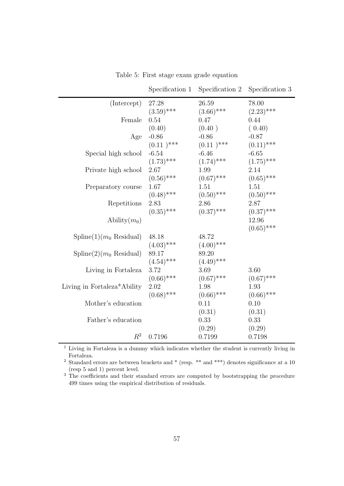|                                          | Specification 1 | Specification 2 | Specification 3 |
|------------------------------------------|-----------------|-----------------|-----------------|
| (Intercept)                              | 27.28           | 26.59           | 78.00           |
|                                          | $(3.59)$ ***    | $(3.66)$ ***    | $(2.23)$ ***    |
| Female                                   | 0.54            | 0.47            | 0.44            |
|                                          | (0.40)          | (0.40)          | (0.40)          |
| Age                                      | $-0.86$         | $-0.86$         | $-0.87$         |
|                                          | $(0.11)^{***}$  | $(0.11)^{***}$  | $(0.11)$ ***    |
| Special high school                      | $-6.54$         | $-6.46$         | $-6.65$         |
|                                          | $(1.73)$ ***    | $(1.74)$ ***    | $(1.75)$ ***    |
| Private high school                      | 2.67            | 1.99            | 2.14            |
|                                          | $(0.56)$ ***    | $(0.67)$ ***    | $(0.65)$ ***    |
| Preparatory course                       | 1.67            | 1.51            | 1.51            |
|                                          | $(0.48)$ ***    | $(0.50)$ ***    | $(0.50)$ ***    |
| Repetitions                              | 2.83            | 2.86            | 2.87            |
|                                          | $(0.35)$ ***    | $(0.37)$ ***    | $(0.37)$ ***    |
| Ability $(m_0)$                          |                 |                 | 12.96           |
|                                          |                 |                 | $(0.65)$ ***    |
| $\text{Spline}(1)(m_0 \text{ Residual})$ | 48.18           | 48.72           |                 |
|                                          | $(4.03)$ ***    | $(4.00)$ ***    |                 |
| $\text{Spline}(2)(m_0 \text{ Residual})$ | 89.17           | 89.20           |                 |
|                                          | $(4.54)$ ***    | $(4.49)$ ***    |                 |
| Living in Fortaleza                      | 3.72            | 3.69            | 3.60            |
|                                          | $(0.66)$ ***    | $(0.67)$ ***    | $(0.67)$ ***    |
| Living in Fortaleza*Ability              | 2.02            | 1.98            | 1.93            |
|                                          | $(0.68)$ ***    | $(0.66)$ ***    | $(0.66)$ ***    |
| Mother's education                       |                 | 0.11            | 0.10            |
|                                          |                 | (0.31)          | (0.31)          |
| Father's education                       |                 | 0.33            | 0.33            |
|                                          |                 | (0.29)          | (0.29)          |
| $R^2$                                    | 0.7196          | 0.7199          | 0.7198          |
|                                          |                 |                 |                 |

Table 5: First stage exam grade equation

 $\overline{1}$  Living in Fortaleza is a dummy which indicates whether the student is currently living in Fortaleza.

<sup>2</sup> Standard errors are between brackets and \* (resp. \*\* and \*\*\*) denotes significance at a 10 (resp 5 and 1) percent level.

<sup>3</sup> The coefficients and their standard errors are computed by bootstrapping the procedure 499 times using the empirical distribution of residuals.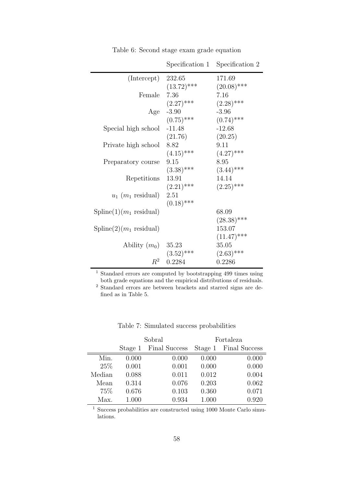|                                          | Specification 1 | Specification 2 |
|------------------------------------------|-----------------|-----------------|
| (Intercept)                              | 232.65          | 171.69          |
|                                          | $(13.72)$ ***   | $(20.08)$ ***   |
| Female                                   | 7.36            | 7.16            |
|                                          | $(2.27)$ ***    | $(2.28)$ ***    |
| Age                                      | $-3.90$         | $-3.96$         |
|                                          | $(0.75)$ ***    | $(0.74)$ ***    |
| Special high school                      | $-11.48$        | $-12.68$        |
|                                          | (21.76)         | (20.25)         |
| Private high school                      | 8.82            | 9.11            |
|                                          | $(4.15)$ ***    | $(4.27)$ ***    |
| Preparatory course                       | 9.15            | 8.95            |
|                                          | $(3.38)$ ***    | $(3.44)$ ***    |
| Repetitions                              | 13.91           | 14.14           |
|                                          | $(2.21)$ ***    | $(2.25)$ ***    |
| $u_1$ ( $m_1$ residual)                  | 2.51            |                 |
|                                          | $(0.18)$ ***    |                 |
| $\text{Spline}(1)(m_1 \text{ residual})$ |                 | 68.09           |
|                                          |                 | $(28.38)$ ***   |
| $\text{Spline}(2)(m_1 \text{ residual})$ |                 | 153.07          |
|                                          |                 | $(11.47)$ ***   |
| Ability $(m_0)$ 35.23                    |                 | 35.05           |
|                                          | $(3.52)$ ***    | $(2.63)$ ***    |
| $R^2$                                    | 0.2284          | 0.2286          |

Table 6: Second stage exam grade equation

<sup>1</sup> Standard errors are computed by bootstrapping 499 times using both grade equations and the empirical distributions of residuals.

<sup>2</sup> Standard errors are between brackets and starred signs are defined as in Table 5.

|        |         | Sobral        |         | Fortaleza     |
|--------|---------|---------------|---------|---------------|
|        | Stage 1 | Final Success | Stage 1 | Final Success |
| Min.   | 0.000   | 0.000         | 0.000   | 0.000         |
| 25\%   | 0.001   | 0.001         | 0.000   | 0.000         |
| Median | 0.088   | 0.011         | 0.012   | 0.004         |
| Mean   | 0.314   | 0.076         | 0.203   | 0.062         |
| 75%    | 0.676   | 0.103         | 0.360   | 0.071         |
| Max.   | 1.000   | 0.934         | 1.000   | 0.920         |

Table 7: Simulated success probabilities

<sup>1</sup> Success probabilities are constructed using 1000 Monte Carlo simulations.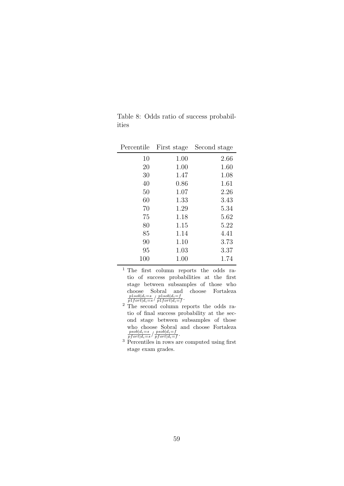|       |  |  | Table 8: Odds ratio of success probabil- |
|-------|--|--|------------------------------------------|
| ities |  |  |                                          |

-

| Percentile | First stage | Second stage |
|------------|-------------|--------------|
| 10         | 1.00        | 2.66         |
| 20         | 1.00        | 1.60         |
| 30         | 1.47        | 1.08         |
| 40         | 0.86        | 1.61         |
| 50         | 1.07        | 2.26         |
| 60         | 1.33        | 3.43         |
| 70         | 1.29        | 5.34         |
| 75         | 1.18        | 5.62         |
| 80         | 1.15        | 5.22         |
| 85         | 1.14        | 4.41         |
| 90         | 1.10        | 3.73         |
| 95         | 1.03        | 3.37         |
| 100        | 1.00        | 1.74         |

- <sup>1</sup> The first column reports the odds ratio of success probabilities at the first stage between subsamples of those who choose Sobral and choose Fortaleza<br>  $p1sob|d_i = s$   $p1sob|d_i = f$  $\frac{p1sob|d_i=s}{p1fort|d_i=s}/\frac{p1sob|d_i=f}{p1fort|d_i=s}$  $\frac{p1soo|a_i=J}{p1 fort|d_i=f}.$
- <sup>2</sup> The second column reports the odds ratio of final success probability at the second stage between subsamples of those who choose Sobral and choose Fortaleza<br>  $_{psob|d_i=s}$  /  $_{psob|d_i=f}$  $\frac{psob|d_i=s}{pfort|d_i=s}/\frac{psob|d_i=f}{pfort|d_i=s}$  $\frac{psoo|a_i = f}{pfort|d_i = f}.$
- $3$  Percentiles in rows are computed using first stage exam grades.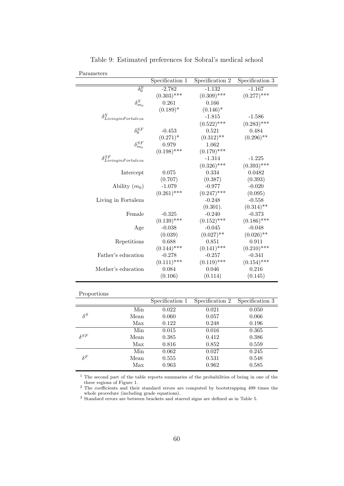|                                     | Specification 1 | Specification 2 | Specification 3 |
|-------------------------------------|-----------------|-----------------|-----------------|
| $\overline{\delta_0^S}$             | $-2.782$        | $-1.132$        | $-1.167$        |
|                                     | $(0.303)$ ***   | $(0.309)$ ***   | $(0.277)$ ***   |
| $\delta_{m_0}^S$                    | 0.261           | 0.166           |                 |
|                                     | $(0.189)^*$     | $(0.146)*$      |                 |
| $\delta^S_{Living in Fortaleza}$    |                 | $-1.815$        | $-1.586$        |
|                                     |                 | $(0.522)$ ***   | $(0.283)$ ***   |
| $\delta_0^{SF}$                     | $-0.453$        | 0.521           | 0.484           |
|                                     | $(0.271)^*$     | $(0.312)$ **    | $(0.296)$ **    |
| $\delta_{m_0}^{SF}$                 | 0.979           | 1.062           |                 |
|                                     | $(0.198)$ ***   | $(0.179)$ ***   |                 |
| $\delta^{SF}_{Living in Fortaleza}$ |                 | $-1.314$        | $-1.225$        |
|                                     |                 | $(0.326)$ ***   | $(0.393)$ ***   |
| Intercept                           | 0.075           | 0.334           | 0.0482          |
|                                     | (0.707)         | (0.387)         | (0.393)         |
| Ability $(m_0)$                     | $-1.079$        | $-0.977$        | $-0.020$        |
|                                     | $(0.261)$ ***   | $(0.247)$ ***   | (0.095)         |
| Living in Fortaleza                 |                 | $-0.248$        | $-0.558$        |
|                                     |                 | (0.301).        | $(0.314)$ **    |
| Female                              | $-0.325$        | $-0.240$        | $-0.373$        |
|                                     | $(0.139)$ ***   | $(0.152)$ ***   | $(0.186)$ ***   |
| Age                                 | $-0.038$        | $-0.045$        | $-0.048$        |
|                                     | (0.039)         | $(0.027)$ **    | $(0.026)$ **    |
| Repetitions                         | 0.688           | 0.851           | 0.911           |
|                                     | $(0.144)$ ***   | $(0.141)$ ***   | $(0.210)$ ***   |
| Father's education                  | $-0.278$        | $-0.257$        | $-0.341$        |
|                                     | $(0.111)$ ***   | $(0.119)$ ***   | $(0.154)$ ***   |
| Mother's education                  | 0.084           | 0.046           | 0.216           |
|                                     | (0.106)         | (0.114)         | (0.145)         |

Table 9: Estimated preferences for Sobral's medical school

| roportions |
|------------|
|------------|

|               |      | Specification 1 | Specification 2 | Specification 3 |
|---------------|------|-----------------|-----------------|-----------------|
|               | Min  | 0.022           | 0.021           | 0.050           |
| $\delta^S$    | Mean | 0.060           | 0.057           | 0.066           |
|               | Max  | 0.122           | 0.248           | 0.196           |
|               | Min  | 0.015           | 0.016           | 0.365           |
| $\delta^{SF}$ | Mean | 0.385           | 0.412           | 0.386           |
|               | Max  | 0.816           | 0.852           | 0.559           |
|               | Min  | 0.062           | 0.027           | 0.245           |
| $\delta^F$    | Mean | 0.555           | 0.531           | 0.548           |
|               | Max  | 0.963           | 0.962           | 0.585           |

 $^{\rm 1}$  The second part of the table reports summaries of the probabilities of being in one of the three regions of Figure 1.

<sup>2</sup> The coefficients and their standard errors are computed by bootstrapping 499 times the whole procedure (including grade equations).

<sup>3</sup> Standard errors are between brackets and starred signs are defined as in Table 5.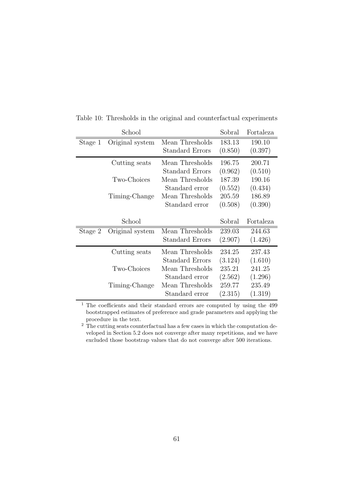|         | School          |                        | Sobral  | Fortaleza |
|---------|-----------------|------------------------|---------|-----------|
| Stage 1 | Original system | Mean Thresholds        | 183.13  | 190.10    |
|         |                 | <b>Standard Errors</b> | (0.850) | (0.397)   |
|         | Cutting seats   | Mean Thresholds        | 196.75  | 200.71    |
|         |                 | <b>Standard Errors</b> | (0.962) | (0.510)   |
|         | Two-Choices     | Mean Thresholds        | 187.39  | 190.16    |
|         |                 | Standard error         | (0.552) | (0.434)   |
|         | Timing-Change   | Mean Thresholds        | 205.59  | 186.89    |
|         |                 | Standard error         | (0.508) | (0.390)   |
|         |                 |                        |         |           |
|         |                 |                        |         |           |
|         | School          |                        | Sobral  | Fortaleza |
| Stage 2 | Original system | Mean Thresholds        | 239.03  | 244.63    |
|         |                 | <b>Standard Errors</b> | (2.907) | (1.426)   |
|         | Cutting seats   | Mean Thresholds        | 234.25  | 237.43    |
|         |                 | Standard Errors        | (3.124) | (1.610)   |
|         | Two-Choices     | Mean Thresholds        | 235.21  | 241.25    |
|         |                 | Standard error         | (2.562) | (1.296)   |
|         | Timing-Change   | Mean Thresholds        | 259.77  | 235.49    |

Table 10: Thresholds in the original and counterfactual experiments

<sup>1</sup> The coefficients and their standard errors are computed by using the 499 bootstrapped estimates of preference and grade parameters and applying the procedure in the text.

<sup>2</sup> The cutting seats counterfactual has a few cases in which the computation developed in Section 5.2 does not converge after many repetitions, and we have excluded those bootstrap values that do not converge after 500 iterations.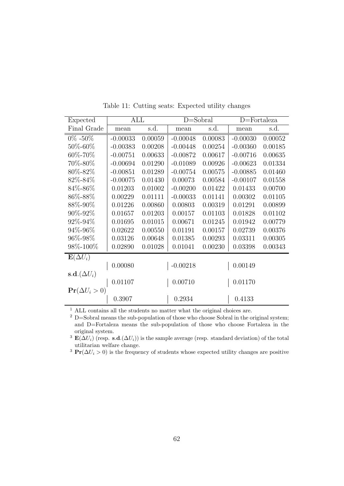| Expected                 | ALL        |         | $D =$ Sobral |         | $D = Fortaleza$ |         |
|--------------------------|------------|---------|--------------|---------|-----------------|---------|
| Final Grade              | mean       | s.d.    | mean         | s.d.    | mean            | s.d.    |
| $0\% - 50\%$             | $-0.00033$ | 0.00059 | $-0.00048$   | 0.00083 | $-0.00030$      | 0.00052 |
| $50\% - 60\%$            | $-0.00383$ | 0.00208 | $-0.00448$   | 0.00254 | $-0.00360$      | 0.00185 |
| 60%-70%                  | $-0.00751$ | 0.00633 | $-0.00872$   | 0.00617 | $-0.00716$      | 0.00635 |
| 70%-80%                  | $-0.00694$ | 0.01290 | $-0.01089$   | 0.00926 | $-0.00623$      | 0.01334 |
| 80%-82%                  | $-0.00851$ | 0.01289 | $-0.00754$   | 0.00575 | $-0.00885$      | 0.01460 |
| 82%-84%                  | $-0.00075$ | 0.01430 | 0.00073      | 0.00584 | $-0.00107$      | 0.01558 |
| 84\%-86\%                | 0.01203    | 0.01002 | $-0.00200$   | 0.01422 | 0.01433         | 0.00700 |
| 86%-88%                  | 0.00229    | 0.01111 | $-0.00033$   | 0.01141 | 0.00302         | 0.01105 |
| 88\%-90\%                | 0.01226    | 0.00860 | 0.00803      | 0.00319 | 0.01291         | 0.00899 |
| 90\%-92\%                | 0.01657    | 0.01203 | 0.00157      | 0.01103 | 0.01828         | 0.01102 |
| 92%-94%                  | 0.01695    | 0.01015 | 0.00671      | 0.01245 | 0.01942         | 0.00779 |
| 94%-96%                  | 0.02622    | 0.00550 | 0.01191      | 0.00157 | 0.02739         | 0.00376 |
| 96\%-98\%                | 0.03126    | 0.00648 | 0.01385      | 0.00293 | 0.03311         | 0.00305 |
| 98%-100%                 | 0.02890    | 0.01028 | 0.01041      | 0.00230 | 0.03398         | 0.00343 |
| $\mathbf{E}(\Delta U_i)$ |            |         |              |         |                 |         |
|                          | 0.00080    |         | $-0.00218$   |         | 0.00149         |         |
| s.d. $(\Delta U_i)$      |            |         |              |         |                 |         |
|                          | 0.01107    |         | 0.00710      |         | 0.01170         |         |
| $\Pr(\Delta U_i > 0)$    |            |         |              |         |                 |         |
|                          | 0.3907     |         | 0.2934       |         | 0.4133          |         |

Table 11: Cutting seats: Expected utility changes

<sup>1</sup> ALL contains all the students no matter what the original choices are.

<sup>2</sup> D=Sobral means the sub-population of those who choose Sobral in the original system; and D=Fortaleza means the sub-population of those who choose Fortaleza in the original system.

<sup>3</sup>  $\mathbf{E}(\Delta U_i)$  (resp. s.d. $(\Delta U_i)$ ) is the sample average (resp. standard deviation) of the total utilitarian welfare change.

<sup>3</sup> Pr( $\Delta U_i > 0$ ) is the frequency of students whose expected utility changes are positive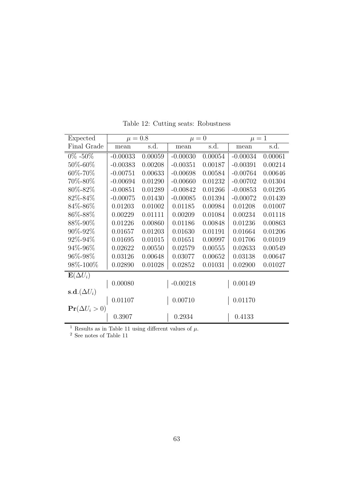| Expected                              | $\mu = 0.8$ |         | $\mu = 0$  |         | $\mu = 1$  |         |
|---------------------------------------|-------------|---------|------------|---------|------------|---------|
| Final Grade                           | mean        | s.d.    | mean       | s.d.    | mean       | s.d.    |
| $0\% - 50\%$                          | $-0.00033$  | 0.00059 | $-0.00030$ | 0.00054 | $-0.00034$ | 0.00061 |
| 50\%-60\%                             | $-0.00383$  | 0.00208 | $-0.00351$ | 0.00187 | $-0.00391$ | 0.00214 |
| 60%-70%                               | $-0.00751$  | 0.00633 | $-0.00698$ | 0.00584 | $-0.00764$ | 0.00646 |
| 70%-80%                               | $-0.00694$  | 0.01290 | $-0.00660$ | 0.01232 | $-0.00702$ | 0.01304 |
| 80\%-82\%                             | $-0.00851$  | 0.01289 | $-0.00842$ | 0.01266 | $-0.00853$ | 0.01295 |
| 82%-84%                               | $-0.00075$  | 0.01430 | $-0.00085$ | 0.01394 | $-0.00072$ | 0.01439 |
| 84\%-86\%                             | 0.01203     | 0.01002 | 0.01185    | 0.00984 | 0.01208    | 0.01007 |
| 86%-88%                               | 0.00229     | 0.01111 | 0.00209    | 0.01084 | 0.00234    | 0.01118 |
| 88\%-90\%                             | 0.01226     | 0.00860 | 0.01186    | 0.00848 | 0.01236    | 0.00863 |
| 90\%-92\%                             | 0.01657     | 0.01203 | 0.01630    | 0.01191 | 0.01664    | 0.01206 |
| $92\% - 94\%$                         | 0.01695     | 0.01015 | 0.01651    | 0.00997 | 0.01706    | 0.01019 |
| 94\%-96\%                             | 0.02622     | 0.00550 | 0.02579    | 0.00555 | 0.02633    | 0.00549 |
| 96%-98%                               | 0.03126     | 0.00648 | 0.03077    | 0.00652 | 0.03138    | 0.00647 |
| 98%-100%                              | 0.02890     | 0.01028 | 0.02852    | 0.01031 | 0.02900    | 0.01027 |
| $\mathbf{E}(\Delta U_i)$              |             |         |            |         |            |         |
|                                       | 0.00080     |         | $-0.00218$ |         | 0.00149    |         |
| $\operatorname{\bf s.d.}(\Delta U_i)$ |             |         |            |         |            |         |
|                                       | 0.01107     |         | 0.00710    |         | 0.01170    |         |
| $\Pr(\Delta U_i > 0)$                 |             |         |            |         |            |         |
|                                       | 0.3907      |         | 0.2934     |         | 0.4133     |         |
| $\sim$ $\sim$                         |             |         |            |         |            |         |

Table 12: Cutting seats: Robustness

<sup>1</sup> Results as in Table 11 using different values of  $\mu$ .

 $^2$  See notes of Table 11  $\,$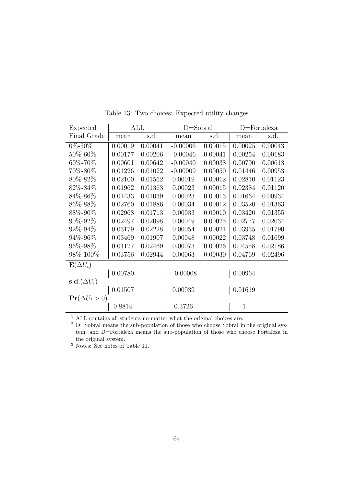| Expected                              | ALL     |         | $D = Sobral$ |         | $D = Fortaleza$ |         |
|---------------------------------------|---------|---------|--------------|---------|-----------------|---------|
| Final Grade                           | mean    | s.d.    | mean         | s.d.    | mean            | s.d.    |
| $0\% - 50\%$                          | 0.00019 | 0.00041 | $-0.00006$   | 0.00015 | 0.00025         | 0.00043 |
| 50\%-60\%                             | 0.00177 | 0.00206 | $-0.00046$   | 0.00041 | 0.00254         | 0.00183 |
| 60\%-70\%                             | 0.00601 | 0.00642 | $-0.00040$   | 0.00038 | 0.00790         | 0.00613 |
| 70%-80%                               | 0.01226 | 0.01022 | $-0.00009$   | 0.00050 | 0.01446         | 0.00953 |
| 80%-82%                               | 0.02100 | 0.01562 | 0.00019      | 0.00012 | 0.02810         | 0.01123 |
| 82%-84%                               | 0.01962 | 0.01363 | 0.00023      | 0.00015 | 0.02384         | 0.01120 |
| 84\%-86\%                             | 0.01433 | 0.01039 | 0.00023      | 0.00013 | 0.01664         | 0.00934 |
| 86%-88%                               | 0.02760 | 0.01886 | 0.00034      | 0.00012 | 0.03520         | 0.01363 |
| 88\%-90\%                             | 0.02968 | 0.01713 | 0.00033      | 0.00010 | 0.03420         | 0.01355 |
| $90\% - 92\%$                         | 0.02497 | 0.02098 | 0.00049      | 0.00025 | 0.02777         | 0.02034 |
| 92%-94%                               | 0.03179 | 0.02228 | 0.00054      | 0.00021 | 0.03935         | 0.01790 |
| 94\%-96\%                             | 0.03469 | 0.01907 | 0.00048      | 0.00022 | 0.03748         | 0.01699 |
| 96\%-98\%                             | 0.04127 | 0.02469 | 0.00073      | 0.00026 | 0.04558         | 0.02186 |
| 98%-100%                              | 0.03756 | 0.02944 | 0.00063      | 0.00030 | 0.04769         | 0.02496 |
| $\mathbf{E}(\Delta U_i)$              |         |         |              |         |                 |         |
|                                       | 0.00780 |         | 0.00008      |         | 0.00964         |         |
| $\operatorname{\bf s.d.}(\Delta U_i)$ |         |         |              |         |                 |         |
|                                       | 0.01507 |         | 0.00039      |         | 0.01619         |         |
| $\Pr(\Delta U_i > 0)$                 |         |         |              |         |                 |         |
|                                       | 0.8814  |         | 0.3726       |         | $\mathbf{1}$    |         |

Table 13: Two choices: Expected utility changes

 $^{\rm 1}$  ALL contains all students no matter what the original choices are.

 $2$  D=Sobral means the sub-population of those who choose Sobral in the original system; and D=Fortaleza means the sub-population of those who choose Fortaleza in the original system.

<sup>3</sup> Notes: See notes of Table 11.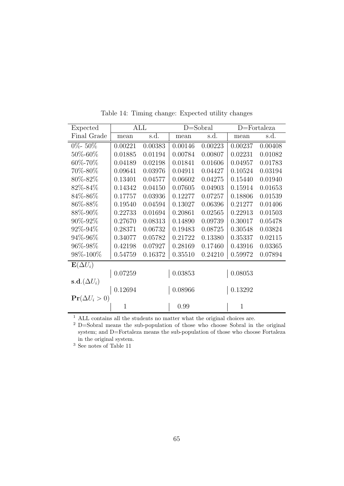| Expected                              | <b>ALL</b>   |         | $D = Sobral$ |         | $D =$ Fortaleza |         |
|---------------------------------------|--------------|---------|--------------|---------|-----------------|---------|
| Final Grade                           | mean         | s.d.    | mean         | s.d.    | mean            | s.d.    |
| $0\% - 50\%$                          | 0.00221      | 0.00383 | 0.00146      | 0.00223 | 0.00237         | 0.00408 |
| 50%-60%                               | 0.01885      | 0.01194 | 0.00784      | 0.00807 | 0.02231         | 0.01082 |
| 60%-70%                               | 0.04189      | 0.02198 | 0.01841      | 0.01606 | 0.04957         | 0.01783 |
| 70\%-80\%                             | 0.09641      | 0.03976 | 0.04911      | 0.04427 | 0.10524         | 0.03194 |
| 80%-82%                               | 0.13401      | 0.04577 | 0.06602      | 0.04275 | 0.15440         | 0.01940 |
| 82\%-84\%                             | 0.14342      | 0.04150 | 0.07605      | 0.04903 | 0.15914         | 0.01653 |
| 84\%-86\%                             | 0.17757      | 0.03936 | 0.12277      | 0.07257 | 0.18806         | 0.01539 |
| 86%-88%                               | 0.19540      | 0.04594 | 0.13027      | 0.06396 | 0.21277         | 0.01406 |
| 88\%-90\%                             | 0.22733      | 0.01694 | 0.20861      | 0.02565 | 0.22913         | 0.01503 |
| $90\% - 92\%$                         | 0.27670      | 0.08313 | 0.14890      | 0.09739 | 0.30017         | 0.05478 |
| 92%-94%                               | 0.28371      | 0.06732 | 0.19483      | 0.08725 | 0.30548         | 0.03824 |
| 94%-96%                               | 0.34077      | 0.05782 | 0.21722      | 0.13380 | 0.35337         | 0.02115 |
| 96\%-98\%                             | 0.42198      | 0.07927 | 0.28169      | 0.17460 | 0.43916         | 0.03365 |
| 98%-100%                              | 0.54759      | 0.16372 | 0.35510      | 0.24210 | 0.59972         | 0.07894 |
| $\mathbf{E}(\Delta U_i)$              |              |         |              |         |                 |         |
|                                       | 0.07259      |         | 0.03853      |         | 0.08053         |         |
| $\operatorname{\bf s.d.}(\Delta U_i)$ |              |         |              |         |                 |         |
|                                       | 0.12694      |         | 0.08966      |         | 0.13292         |         |
| $\Pr(\Delta U_i > 0)$                 |              |         |              |         |                 |         |
|                                       | $\mathbf{1}$ |         | 0.99         |         | $\mathbf{1}$    |         |

Table 14: Timing change: Expected utility changes

 $^{\rm 1}$  ALL contains all the students no matter what the original choices are.

<sup>2</sup> D=Sobral means the sub-population of those who choose Sobral in the original system; and D=Fortaleza means the sub-population of those who choose Fortaleza in the original system.

<sup>3</sup> See notes of Table 11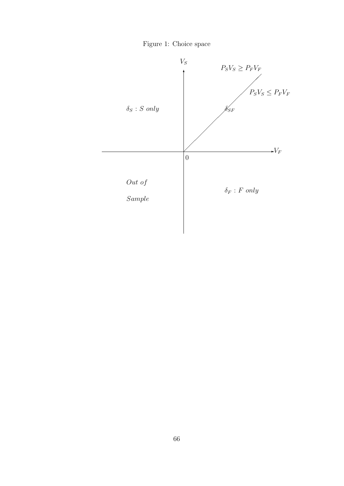

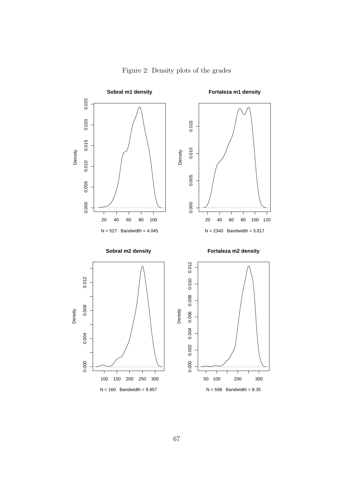

Figure 2: Density plots of the grades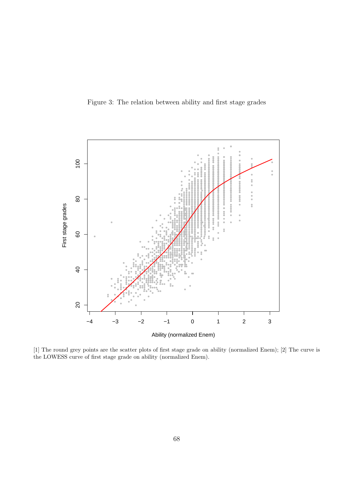Figure 3: The relation between ability and first stage grades



[1] The round grey points are the scatter plots of first stage grade on ability (normalized Enem); [2] The curve is the LOWESS curve of first stage grade on ability (normalized Enem).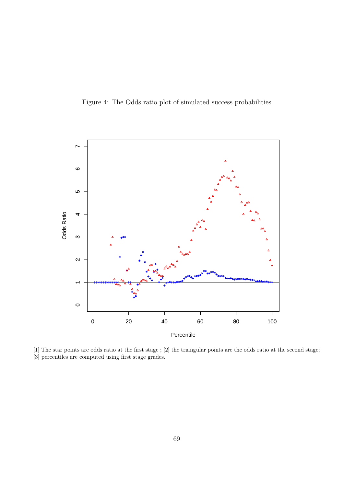Figure 4: The Odds ratio plot of simulated success probabilities



[1] The star points are odds ratio at the first stage ; [2] the triangular points are the odds ratio at the second stage; [3] percentiles are computed using first stage grades.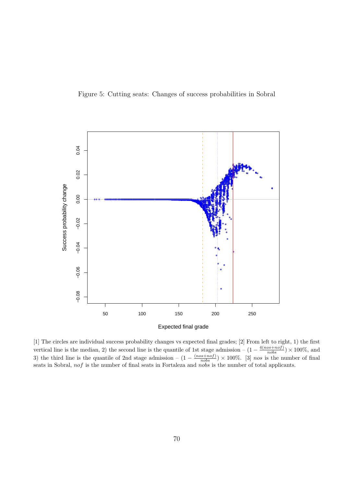



[1] The circles are individual success probability changes vs expected final grades; [2] From left to right, 1) the first probability changes vs expected mai grades, [2] From left  $\upsilon$  right, 1) the first<br>vertical line is the median, 2) the second line is the quantile of 1st stage admission  $-(1 - \frac{4(nos + not)}{nobs}) \times 100\%$ , and<br>3) the third line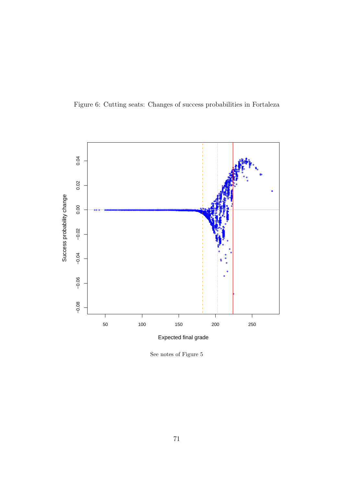



See notes of Figure  $5\,$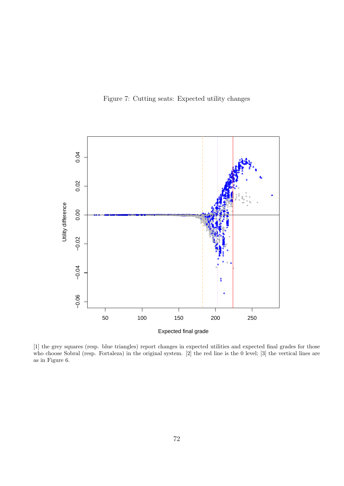Figure 7: Cutting seats: Expected utility changes



[1] the grey squares (resp. blue triangles) report changes in expected utilities and expected final grades for those who choose Sobral (resp. Fortaleza) in the original system. [2] the red line is the 0 level; [3] the vertical lines are as in Figure 6.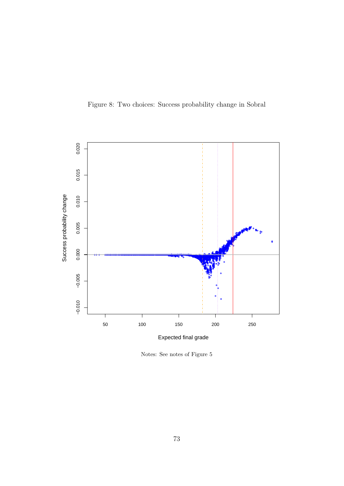Figure 8: Two choices: Success probability change in Sobral



Notes: See notes of Figure  $5\,$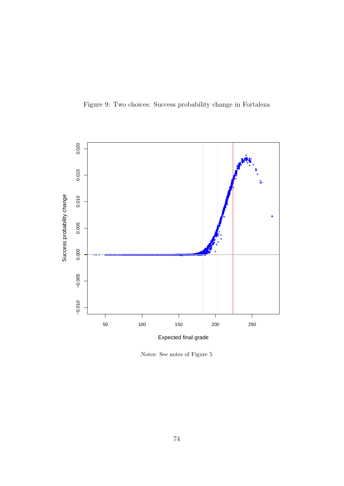



Notes: See notes of Figure  $5\,$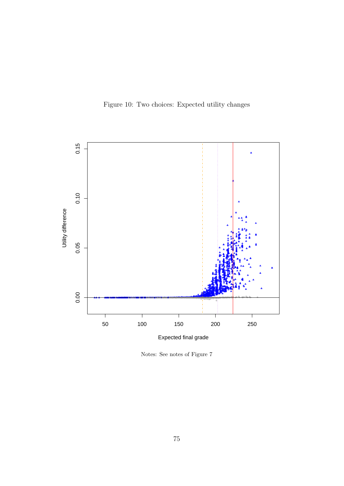Figure 10: Two choices: Expected utility changes



Notes: See notes of Figure 7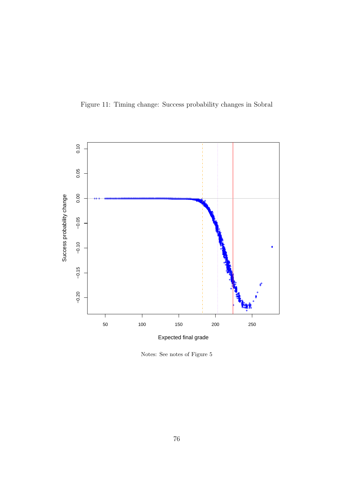

Figure 11: Timing change: Success probability changes in Sobral

Notes: See notes of Figure  $5\,$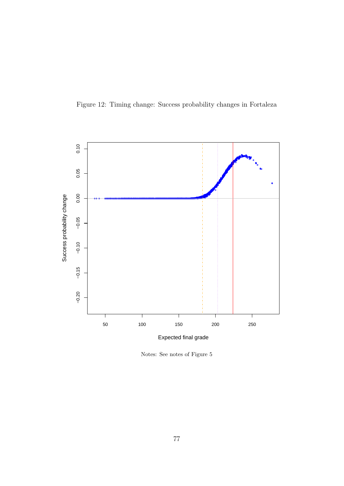

Figure 12: Timing change: Success probability changes in Fortaleza

Notes: See notes of Figure  $5\,$